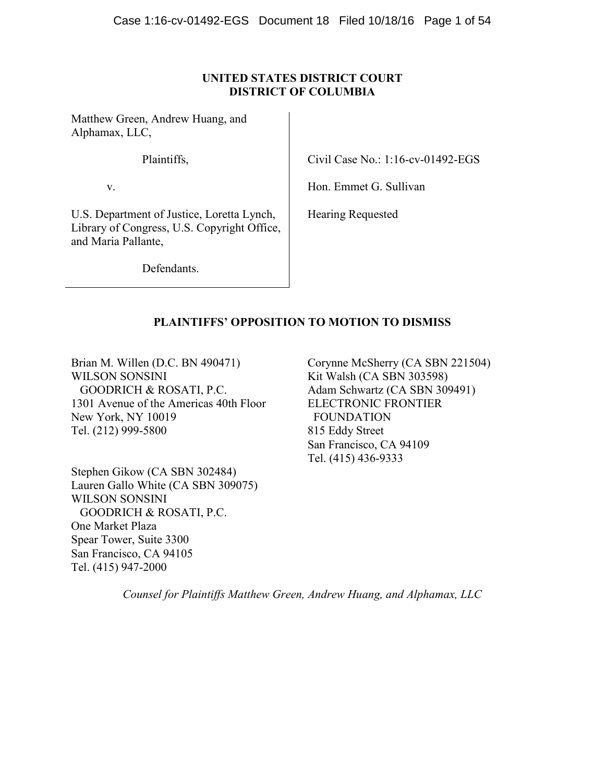## **UNITED STATES DISTRICT COURT DISTRICT OF COLUMBIA**

Matthew Green, Andrew Huang, and Alphamax, LLC,

Plaintiffs,

Civil Case No.: 1:16-cv-01492-EGS

v.

U.S. Department of Justice, Loretta Lynch, Library of Congress, U.S. Copyright Office, and Maria Pallante,

Hon. Emmet G. Sullivan

Hearing Requested

**Defendants** 

## **PLAINTIFFS' OPPOSITION TO MOTION TO DISMISS**

Brian M. Willen (D.C. BN 490471) WILSON SONSINI GOODRICH & ROSATI, P.C. 1301 Avenue of the Americas 40th Floor New York, NY 10019 Tel. (212) 999-5800

Stephen Gikow (CA SBN 302484) Lauren Gallo White (CA SBN 309075) WILSON SONSINI GOODRICH & ROSATI, P.C. One Market Plaza Spear Tower, Suite 3300 San Francisco, CA 94105 Tel. (415) 947-2000

Corynne McSherry (CA SBN 221504) Kit Walsh (CA SBN 303598) Adam Schwartz (CA SBN 309491) ELECTRONIC FRONTIER FOUNDATION 815 Eddy Street San Francisco, CA 94109 Tel. (415) 436-9333

*Counsel for Plaintiffs Matthew Green, Andrew Huang, and Alphamax, LLC*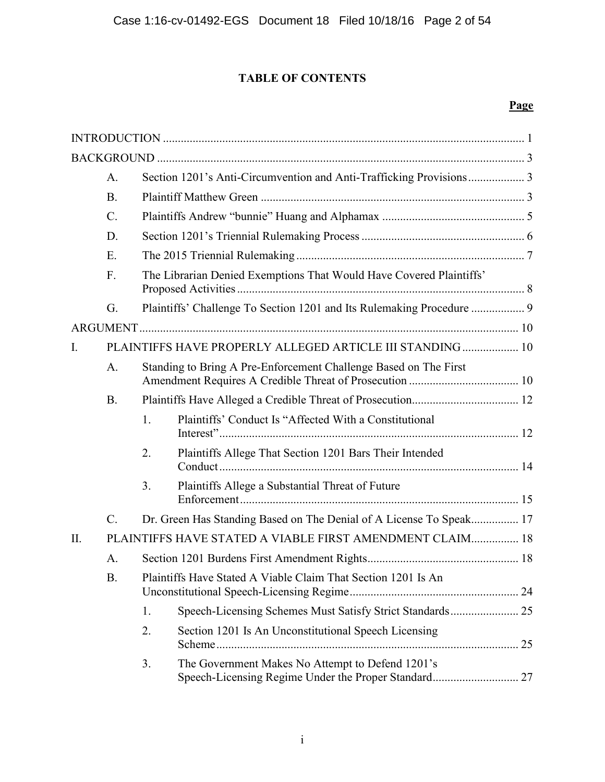## **TABLE OF CONTENTS**

## **Page**

|                | $A$ .           | Section 1201's Anti-Circumvention and Anti-Trafficking Provisions 3 |                                                                     |  |  |
|----------------|-----------------|---------------------------------------------------------------------|---------------------------------------------------------------------|--|--|
|                | B.              |                                                                     |                                                                     |  |  |
|                | $\mathcal{C}$ . |                                                                     |                                                                     |  |  |
|                | D.              |                                                                     |                                                                     |  |  |
|                | E.              |                                                                     |                                                                     |  |  |
|                | F.              |                                                                     | The Librarian Denied Exemptions That Would Have Covered Plaintiffs' |  |  |
|                | G.              |                                                                     |                                                                     |  |  |
|                |                 |                                                                     |                                                                     |  |  |
| $\mathbf{I}$ . |                 |                                                                     | PLAINTIFFS HAVE PROPERLY ALLEGED ARTICLE III STANDING 10            |  |  |
|                | A.              |                                                                     | Standing to Bring A Pre-Enforcement Challenge Based on The First    |  |  |
|                | <b>B.</b>       |                                                                     |                                                                     |  |  |
|                |                 | 1.                                                                  | Plaintiffs' Conduct Is "Affected With a Constitutional              |  |  |
|                |                 | 2.                                                                  | Plaintiffs Allege That Section 1201 Bars Their Intended             |  |  |
|                |                 | 3.                                                                  | Plaintiffs Allege a Substantial Threat of Future                    |  |  |
|                | $\mathcal{C}$ . |                                                                     | Dr. Green Has Standing Based on The Denial of A License To Speak 17 |  |  |
| $\Pi$ .        |                 |                                                                     | PLAINTIFFS HAVE STATED A VIABLE FIRST AMENDMENT CLAIM 18            |  |  |
|                | A.              |                                                                     |                                                                     |  |  |
|                | <b>B.</b>       |                                                                     | Plaintiffs Have Stated A Viable Claim That Section 1201 Is An       |  |  |
|                |                 | 1.                                                                  | Speech-Licensing Schemes Must Satisfy Strict Standards 25           |  |  |
|                |                 | 2.                                                                  | Section 1201 Is An Unconstitutional Speech Licensing                |  |  |
|                |                 | 3.                                                                  | The Government Makes No Attempt to Defend 1201's                    |  |  |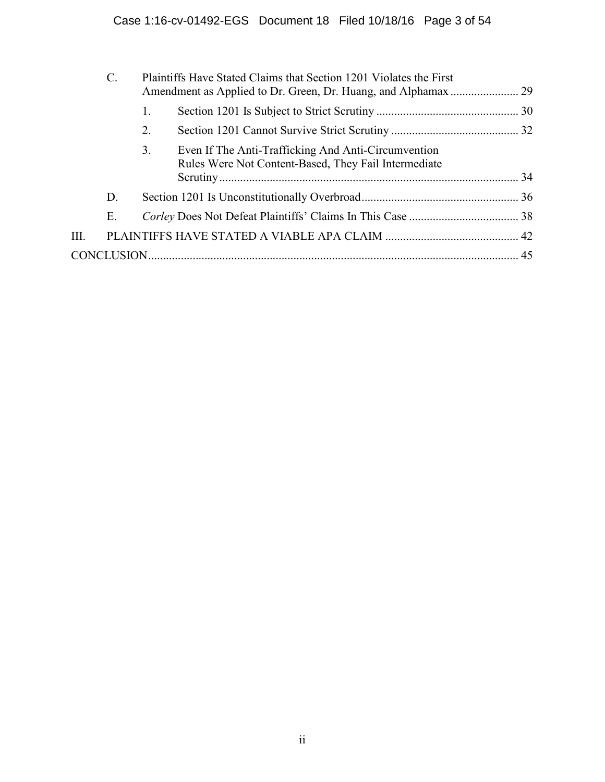|      | $\mathcal{C}$ . | Plaintiffs Have Stated Claims that Section 1201 Violates the First |                                                                                                             |  |
|------|-----------------|--------------------------------------------------------------------|-------------------------------------------------------------------------------------------------------------|--|
|      |                 | 1.                                                                 |                                                                                                             |  |
|      |                 | 2.                                                                 |                                                                                                             |  |
|      |                 | 3.                                                                 | Even If The Anti-Trafficking And Anti-Circumvention<br>Rules Were Not Content-Based, They Fail Intermediate |  |
|      | D.              |                                                                    |                                                                                                             |  |
|      | Е.              |                                                                    |                                                                                                             |  |
| III. |                 |                                                                    |                                                                                                             |  |
|      |                 |                                                                    |                                                                                                             |  |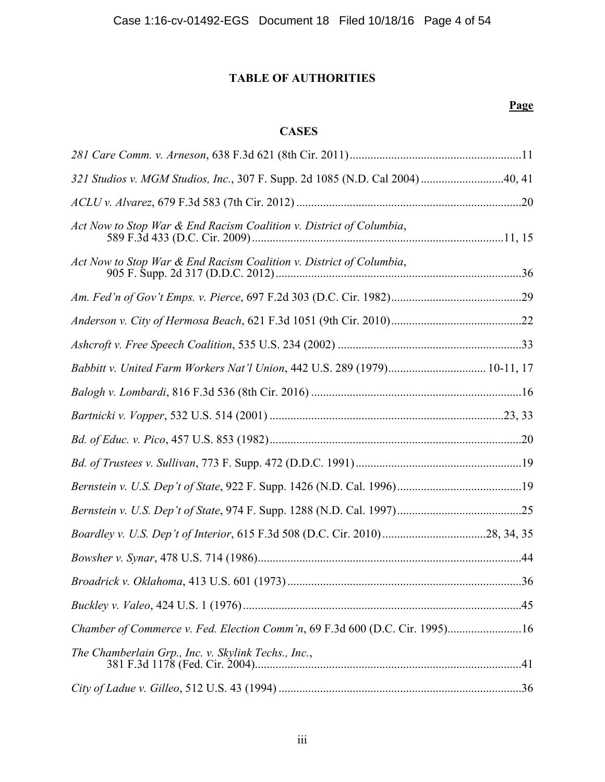# **TABLE OF AUTHORITIES**

## **Page**

## **CASES**

| 321 Studios v. MGM Studios, Inc., 307 F. Supp. 2d 1085 (N.D. Cal 2004)40, 41 |  |
|------------------------------------------------------------------------------|--|
|                                                                              |  |
| Act Now to Stop War & End Racism Coalition v. District of Columbia,          |  |
| Act Now to Stop War & End Racism Coalition v. District of Columbia,          |  |
|                                                                              |  |
|                                                                              |  |
|                                                                              |  |
| Babbitt v. United Farm Workers Nat'l Union, 442 U.S. 289 (1979) 10-11, 17    |  |
|                                                                              |  |
|                                                                              |  |
|                                                                              |  |
|                                                                              |  |
|                                                                              |  |
|                                                                              |  |
|                                                                              |  |
|                                                                              |  |
|                                                                              |  |
|                                                                              |  |
| Chamber of Commerce v. Fed. Election Comm'n, 69 F.3d 600 (D.C. Cir. 1995)16  |  |
| The Chamberlain Grp., Inc. v. Skylink Techs., Inc.,                          |  |
|                                                                              |  |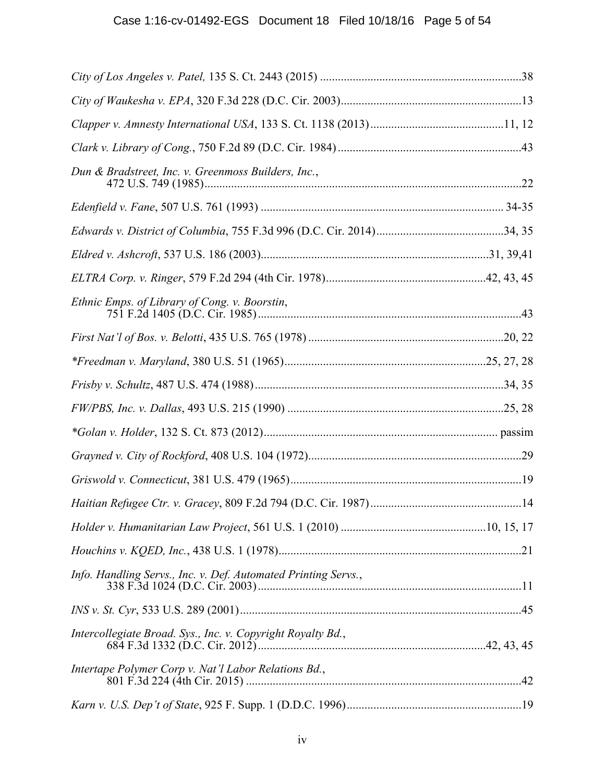| Dun & Bradstreet, Inc. v. Greenmoss Builders, Inc.,            |  |
|----------------------------------------------------------------|--|
|                                                                |  |
|                                                                |  |
|                                                                |  |
|                                                                |  |
| Ethnic Emps. of Library of Cong. v. Boorstin,                  |  |
|                                                                |  |
|                                                                |  |
|                                                                |  |
|                                                                |  |
|                                                                |  |
|                                                                |  |
|                                                                |  |
|                                                                |  |
|                                                                |  |
|                                                                |  |
| Info. Handling Servs., Inc. v. Def. Automated Printing Servs., |  |
|                                                                |  |
| Intercollegiate Broad. Sys., Inc. v. Copyright Royalty Bd.,    |  |
| Intertape Polymer Corp v. Nat'l Labor Relations Bd.,           |  |
|                                                                |  |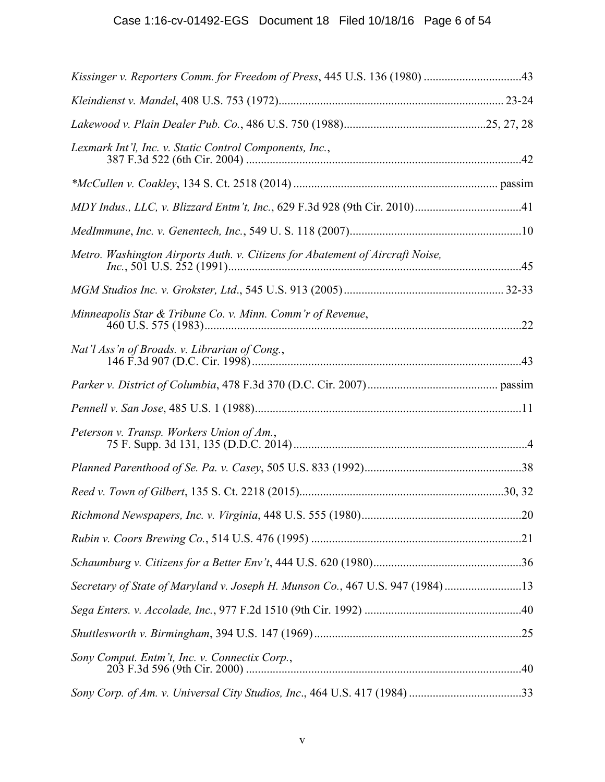| Kissinger v. Reporters Comm. for Freedom of Press, 445 U.S. 136 (1980) 43     |  |
|-------------------------------------------------------------------------------|--|
|                                                                               |  |
|                                                                               |  |
| Lexmark Int'l, Inc. v. Static Control Components, Inc.,                       |  |
|                                                                               |  |
|                                                                               |  |
|                                                                               |  |
| Metro. Washington Airports Auth. v. Citizens for Abatement of Aircraft Noise, |  |
|                                                                               |  |
| Minneapolis Star & Tribune Co. v. Minn. Comm'r of Revenue,                    |  |
| Nat'l Ass'n of Broads. v. Librarian of Cong.,                                 |  |
|                                                                               |  |
|                                                                               |  |
| Peterson v. Transp. Workers Union of Am.,                                     |  |
|                                                                               |  |
|                                                                               |  |
|                                                                               |  |
|                                                                               |  |
|                                                                               |  |
| Secretary of State of Maryland v. Joseph H. Munson Co., 467 U.S. 947 (1984)13 |  |
|                                                                               |  |
|                                                                               |  |
| Sony Comput. Entm't, Inc. v. Connectix Corp.,                                 |  |
|                                                                               |  |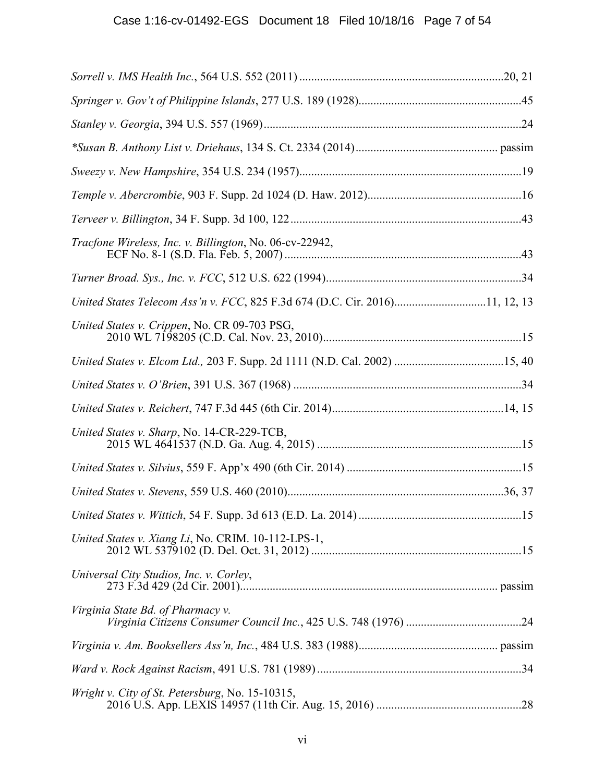| <i>Tracfone Wireless, Inc. v. Billington, No. 06-cv-22942,</i>              |  |
|-----------------------------------------------------------------------------|--|
|                                                                             |  |
| United States Telecom Ass'n v. FCC, 825 F.3d 674 (D.C. Cir. 2016)11, 12, 13 |  |
| United States v. Crippen, No. CR 09-703 PSG,                                |  |
|                                                                             |  |
|                                                                             |  |
|                                                                             |  |
| United States v. Sharp, No. 14-CR-229-TCB,                                  |  |
|                                                                             |  |
|                                                                             |  |
|                                                                             |  |
| United States v. Xiang Li, No. CRIM. 10-112-LPS-1,                          |  |
| Universal City Studios, Inc. v. Corley,                                     |  |
| Virginia State Bd. of Pharmacy v.                                           |  |
|                                                                             |  |
|                                                                             |  |
| Wright v. City of St. Petersburg, No. 15-10315,                             |  |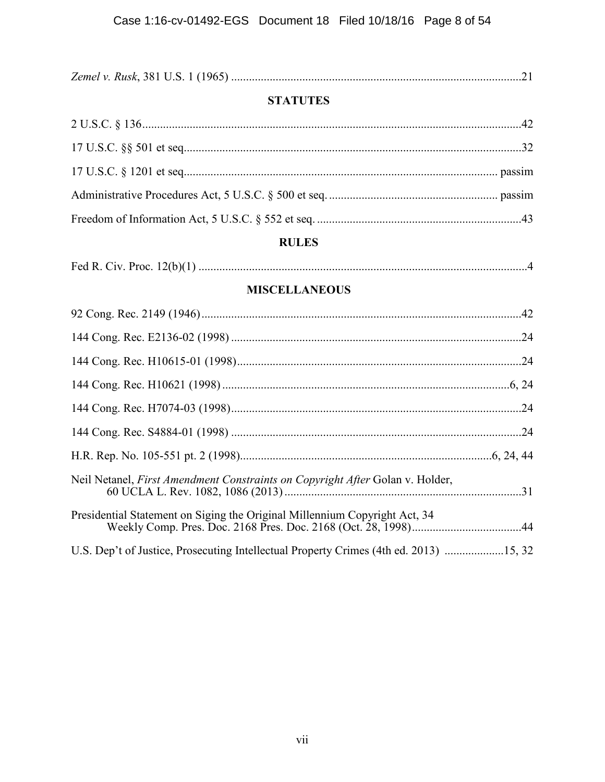|--|--|

# **STATUTES**

# **RULES**

|--|--|--|

# **MISCELLANEOUS**

| Neil Netanel, <i>First Amendment Constraints on Copyright After</i> Golan v. Holder,  |  |
|---------------------------------------------------------------------------------------|--|
| Presidential Statement on Siging the Original Millennium Copyright Act, 34            |  |
| U.S. Dep't of Justice, Prosecuting Intellectual Property Crimes (4th ed. 2013) 15, 32 |  |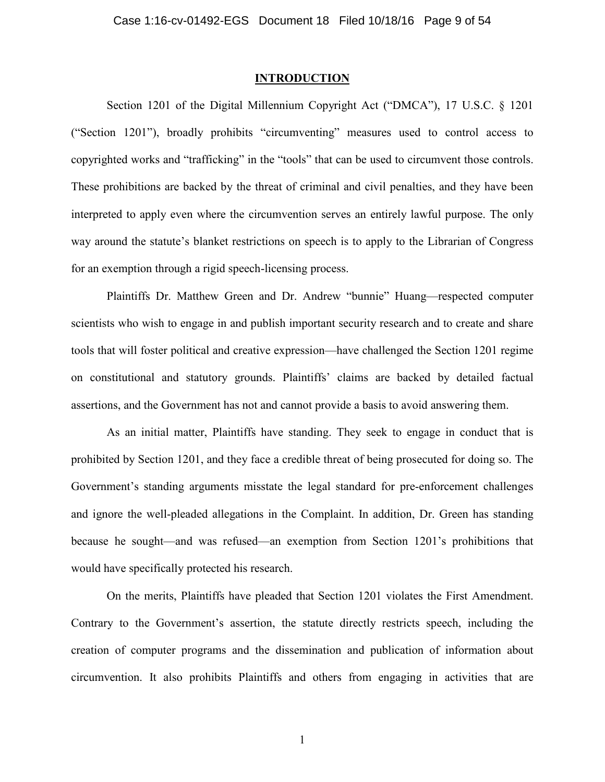#### **INTRODUCTION**

Section 1201 of the Digital Millennium Copyright Act ("DMCA"), 17 U.S.C. § 1201 ("Section 1201"), broadly prohibits "circumventing" measures used to control access to copyrighted works and "trafficking" in the "tools" that can be used to circumvent those controls. These prohibitions are backed by the threat of criminal and civil penalties, and they have been interpreted to apply even where the circumvention serves an entirely lawful purpose. The only way around the statute's blanket restrictions on speech is to apply to the Librarian of Congress for an exemption through a rigid speech-licensing process.

Plaintiffs Dr. Matthew Green and Dr. Andrew "bunnie" Huang—respected computer scientists who wish to engage in and publish important security research and to create and share tools that will foster political and creative expression—have challenged the Section 1201 regime on constitutional and statutory grounds. Plaintiffs' claims are backed by detailed factual assertions, and the Government has not and cannot provide a basis to avoid answering them.

As an initial matter, Plaintiffs have standing. They seek to engage in conduct that is prohibited by Section 1201, and they face a credible threat of being prosecuted for doing so. The Government's standing arguments misstate the legal standard for pre-enforcement challenges and ignore the well-pleaded allegations in the Complaint. In addition, Dr. Green has standing because he sought—and was refused—an exemption from Section 1201's prohibitions that would have specifically protected his research.

On the merits, Plaintiffs have pleaded that Section 1201 violates the First Amendment. Contrary to the Government's assertion, the statute directly restricts speech, including the creation of computer programs and the dissemination and publication of information about circumvention. It also prohibits Plaintiffs and others from engaging in activities that are

1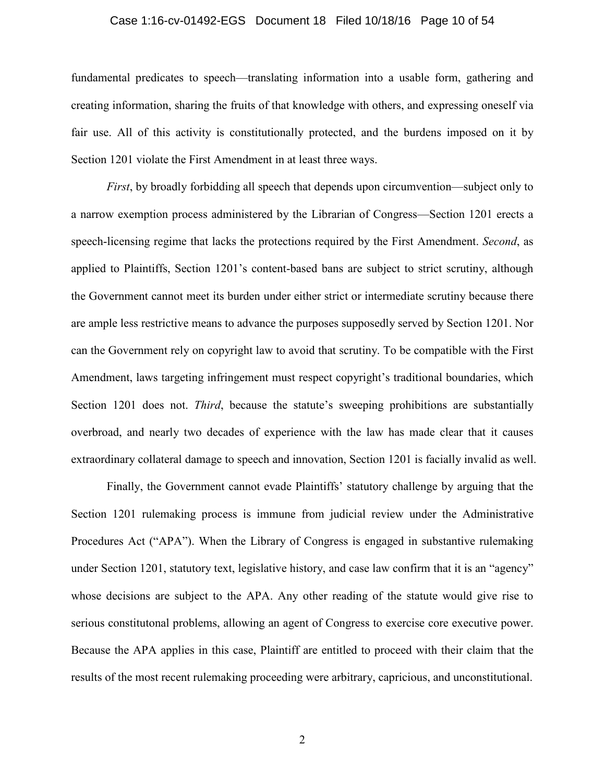#### Case 1:16-cv-01492-EGS Document 18 Filed 10/18/16 Page 10 of 54

fundamental predicates to speech—translating information into a usable form, gathering and creating information, sharing the fruits of that knowledge with others, and expressing oneself via fair use. All of this activity is constitutionally protected, and the burdens imposed on it by Section 1201 violate the First Amendment in at least three ways.

*First*, by broadly forbidding all speech that depends upon circumvention—subject only to a narrow exemption process administered by the Librarian of Congress—Section 1201 erects a speech-licensing regime that lacks the protections required by the First Amendment. *Second*, as applied to Plaintiffs, Section 1201's content-based bans are subject to strict scrutiny, although the Government cannot meet its burden under either strict or intermediate scrutiny because there are ample less restrictive means to advance the purposes supposedly served by Section 1201. Nor can the Government rely on copyright law to avoid that scrutiny. To be compatible with the First Amendment, laws targeting infringement must respect copyright's traditional boundaries, which Section 1201 does not. *Third*, because the statute's sweeping prohibitions are substantially overbroad, and nearly two decades of experience with the law has made clear that it causes extraordinary collateral damage to speech and innovation, Section 1201 is facially invalid as well.

Finally, the Government cannot evade Plaintiffs' statutory challenge by arguing that the Section 1201 rulemaking process is immune from judicial review under the Administrative Procedures Act ("APA"). When the Library of Congress is engaged in substantive rulemaking under Section 1201, statutory text, legislative history, and case law confirm that it is an "agency" whose decisions are subject to the APA. Any other reading of the statute would give rise to serious constitutonal problems, allowing an agent of Congress to exercise core executive power. Because the APA applies in this case, Plaintiff are entitled to proceed with their claim that the results of the most recent rulemaking proceeding were arbitrary, capricious, and unconstitutional.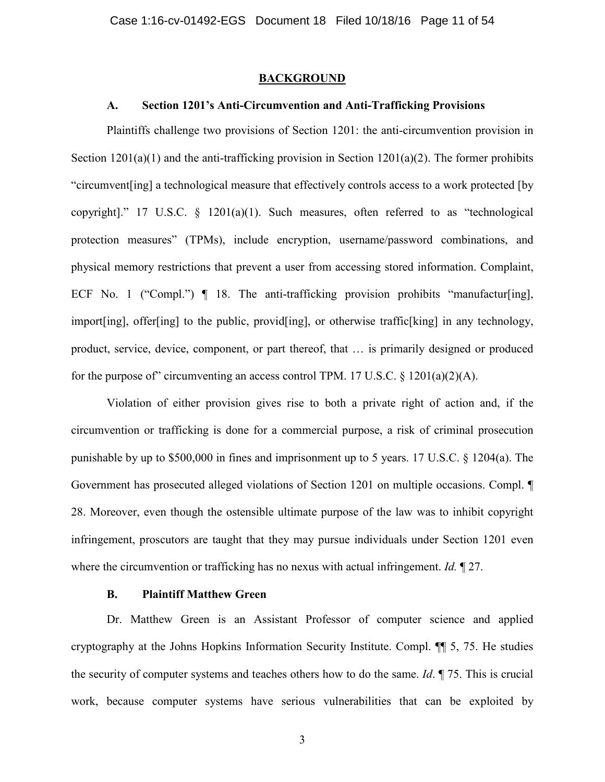#### **BACKGROUND**

## **A. Section 1201's Anti-Circumvention and Anti-Trafficking Provisions**

Plaintiffs challenge two provisions of Section 1201: the anti-circumvention provision in Section  $1201(a)(1)$  and the anti-trafficking provision in Section  $1201(a)(2)$ . The former prohibits "circumvent[ing] a technological measure that effectively controls access to a work protected [by copyright]." 17 U.S.C.  $\frac{1201(a)(1)}{1}$ . Such measures, often referred to as "technological protection measures" (TPMs), include encryption, username/password combinations, and physical memory restrictions that prevent a user from accessing stored information. Complaint, ECF No. 1 ("Compl.")  $\P$  18. The anti-trafficking provision prohibits "manufactur[ing], import[ing], offer[ing] to the public, provid[ing], or otherwise traffic[king] in any technology, product, service, device, component, or part thereof, that … is primarily designed or produced for the purpose of" circumventing an access control TPM. 17 U.S.C.  $\S$  1201(a)(2)(A).

Violation of either provision gives rise to both a private right of action and, if the circumvention or trafficking is done for a commercial purpose, a risk of criminal prosecution punishable by up to \$500,000 in fines and imprisonment up to 5 years. 17 U.S.C. § 1204(a). The Government has prosecuted alleged violations of Section 1201 on multiple occasions. Compl. ¶ 28. Moreover, even though the ostensible ultimate purpose of the law was to inhibit copyright infringement, proscutors are taught that they may pursue individuals under Section 1201 even where the circumvention or trafficking has no nexus with actual infringement. *Id.* ¶ 27.

## **B. Plaintiff Matthew Green**

Dr. Matthew Green is an Assistant Professor of computer science and applied cryptography at the Johns Hopkins Information Security Institute. Compl. ¶¶ 5, 75. He studies the security of computer systems and teaches others how to do the same. *Id*. ¶ 75. This is crucial work, because computer systems have serious vulnerabilities that can be exploited by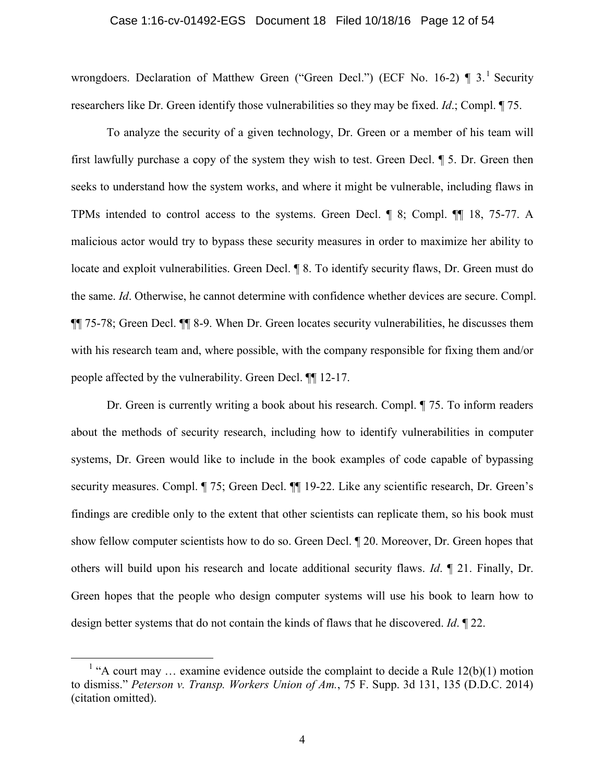#### Case 1:16-cv-01492-EGS Document 18 Filed 10/18/16 Page 12 of 54

wrongdoers. Declaration of Matthew Green ("Green Decl.") (ECF No. 16-2)  $\P$  3.<sup>1</sup> Security researchers like Dr. Green identify those vulnerabilities so they may be fixed. *Id*.; Compl. ¶ 75.

To analyze the security of a given technology, Dr. Green or a member of his team will first lawfully purchase a copy of the system they wish to test. Green Decl. ¶ 5. Dr. Green then seeks to understand how the system works, and where it might be vulnerable, including flaws in TPMs intended to control access to the systems. Green Decl. ¶ 8; Compl. ¶¶ 18, 75-77. A malicious actor would try to bypass these security measures in order to maximize her ability to locate and exploit vulnerabilities. Green Decl. ¶ 8. To identify security flaws, Dr. Green must do the same. *Id*. Otherwise, he cannot determine with confidence whether devices are secure. Compl. ¶¶ 75-78; Green Decl. ¶¶ 8-9. When Dr. Green locates security vulnerabilities, he discusses them with his research team and, where possible, with the company responsible for fixing them and/or people affected by the vulnerability. Green Decl. ¶¶ 12-17.

Dr. Green is currently writing a book about his research. Compl. ¶ 75. To inform readers about the methods of security research, including how to identify vulnerabilities in computer systems, Dr. Green would like to include in the book examples of code capable of bypassing security measures. Compl. ¶ 75; Green Decl. ¶¶ 19-22. Like any scientific research, Dr. Green's findings are credible only to the extent that other scientists can replicate them, so his book must show fellow computer scientists how to do so. Green Decl. ¶ 20. Moreover, Dr. Green hopes that others will build upon his research and locate additional security flaws. *Id*. ¶ 21. Finally, Dr. Green hopes that the people who design computer systems will use his book to learn how to design better systems that do not contain the kinds of flaws that he discovered. *Id*. ¶ 22.

<sup>&</sup>lt;sup>1</sup> "A court may ... examine evidence outside the complaint to decide a Rule  $12(b)(1)$  motion to dismiss." *Peterson v. Transp. Workers Union of Am.*, 75 F. Supp. 3d 131, 135 (D.D.C. 2014) (citation omitted).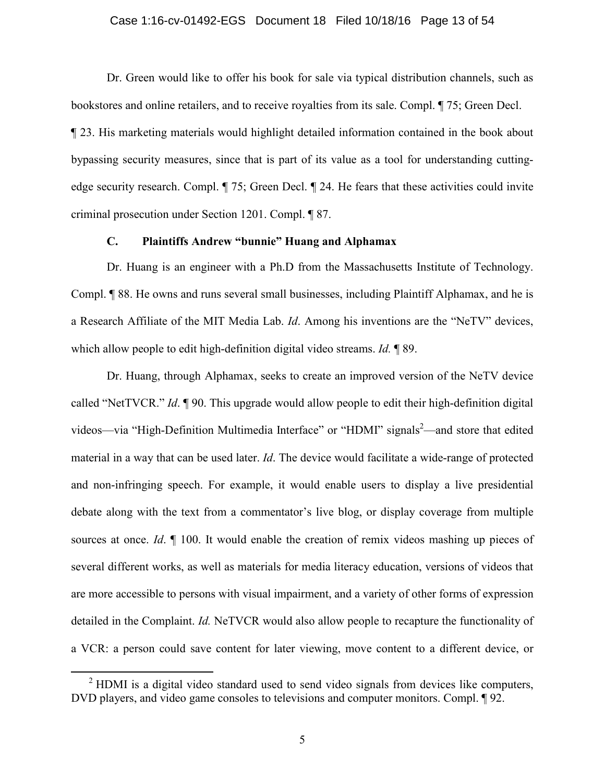#### Case 1:16-cv-01492-EGS Document 18 Filed 10/18/16 Page 13 of 54

Dr. Green would like to offer his book for sale via typical distribution channels, such as bookstores and online retailers, and to receive royalties from its sale. Compl. ¶ 75; Green Decl. ¶ 23. His marketing materials would highlight detailed information contained in the book about bypassing security measures, since that is part of its value as a tool for understanding cuttingedge security research. Compl. ¶ 75; Green Decl. ¶ 24. He fears that these activities could invite criminal prosecution under Section 1201. Compl. ¶ 87.

## **C. Plaintiffs Andrew "bunnie" Huang and Alphamax**

Dr. Huang is an engineer with a Ph.D from the Massachusetts Institute of Technology. Compl. ¶ 88. He owns and runs several small businesses, including Plaintiff Alphamax, and he is a Research Affiliate of the MIT Media Lab. *Id*. Among his inventions are the "NeTV" devices, which allow people to edit high-definition digital video streams. *Id.* ¶ 89.

Dr. Huang, through Alphamax, seeks to create an improved version of the NeTV device called "NetTVCR." *Id*. ¶ 90. This upgrade would allow people to edit their high-definition digital videos—via "High-Definition Multimedia Interface" or "HDMI" signals<sup>2</sup>—and store that edited material in a way that can be used later. *Id*. The device would facilitate a wide-range of protected and non-infringing speech. For example, it would enable users to display a live presidential debate along with the text from a commentator's live blog, or display coverage from multiple sources at once. *Id*. ¶ 100. It would enable the creation of remix videos mashing up pieces of several different works, as well as materials for media literacy education, versions of videos that are more accessible to persons with visual impairment, and a variety of other forms of expression detailed in the Complaint. *Id.* NeTVCR would also allow people to recapture the functionality of a VCR: a person could save content for later viewing, move content to a different device, or

<sup>&</sup>lt;sup>2</sup> HDMI is a digital video standard used to send video signals from devices like computers, DVD players, and video game consoles to televisions and computer monitors. Compl. 192.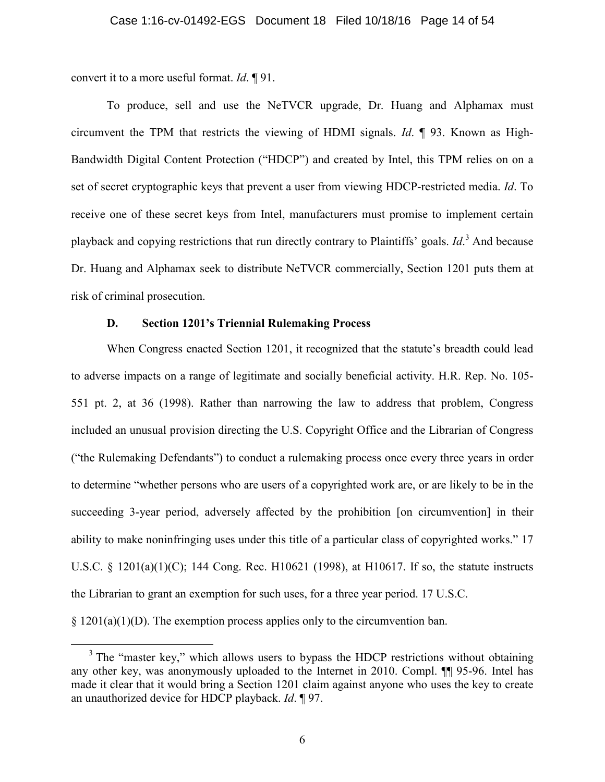convert it to a more useful format. *Id*. ¶ 91.

To produce, sell and use the NeTVCR upgrade, Dr. Huang and Alphamax must circumvent the TPM that restricts the viewing of HDMI signals. *Id*. ¶ 93. Known as High-Bandwidth Digital Content Protection ("HDCP") and created by Intel, this TPM relies on on a set of secret cryptographic keys that prevent a user from viewing HDCP-restricted media. *Id*. To receive one of these secret keys from Intel, manufacturers must promise to implement certain playback and copying restrictions that run directly contrary to Plaintiffs' goals. *Id*. <sup>3</sup> And because Dr. Huang and Alphamax seek to distribute NeTVCR commercially, Section 1201 puts them at risk of criminal prosecution.

## **D. Section 1201's Triennial Rulemaking Process**

When Congress enacted Section 1201, it recognized that the statute's breadth could lead to adverse impacts on a range of legitimate and socially beneficial activity. H.R. Rep. No. 105- 551 pt. 2, at 36 (1998). Rather than narrowing the law to address that problem, Congress included an unusual provision directing the U.S. Copyright Office and the Librarian of Congress ("the Rulemaking Defendants") to conduct a rulemaking process once every three years in order to determine "whether persons who are users of a copyrighted work are, or are likely to be in the succeeding 3-year period, adversely affected by the prohibition [on circumvention] in their ability to make noninfringing uses under this title of a particular class of copyrighted works." 17 U.S.C. § 1201(a)(1)(C); 144 Cong. Rec. H10621 (1998), at H10617. If so, the statute instructs the Librarian to grant an exemption for such uses, for a three year period. 17 U.S.C.  $§ 1201(a)(1)(D)$ . The exemption process applies only to the circumvention ban.

<sup>&</sup>lt;sup>3</sup> The "master key," which allows users to bypass the HDCP restrictions without obtaining any other key, was anonymously uploaded to the Internet in 2010. Compl. ¶¶ 95-96. Intel has made it clear that it would bring a Section 1201 claim against anyone who uses the key to create an unauthorized device for HDCP playback. *Id*. ¶ 97.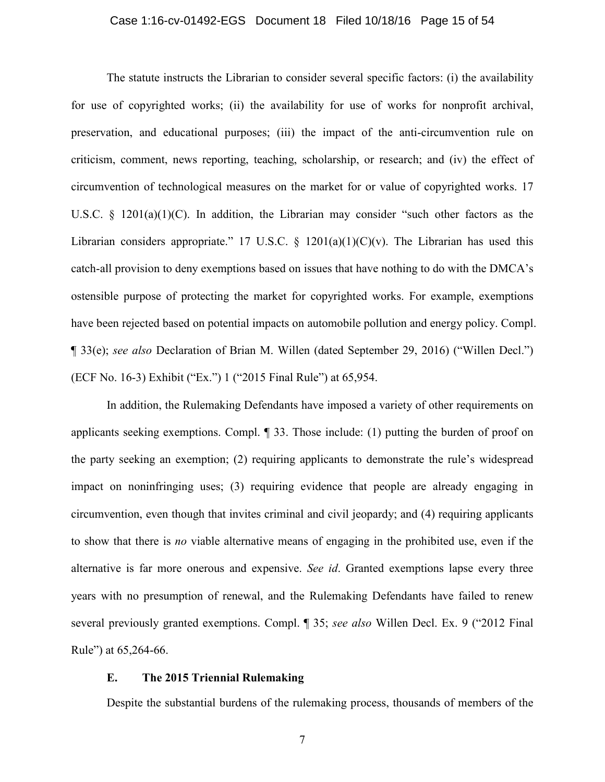#### Case 1:16-cv-01492-EGS Document 18 Filed 10/18/16 Page 15 of 54

The statute instructs the Librarian to consider several specific factors: (i) the availability for use of copyrighted works; (ii) the availability for use of works for nonprofit archival, preservation, and educational purposes; (iii) the impact of the anti-circumvention rule on criticism, comment, news reporting, teaching, scholarship, or research; and (iv) the effect of circumvention of technological measures on the market for or value of copyrighted works. 17 U.S.C. § 1201(a)(1)(C). In addition, the Librarian may consider "such other factors as the Librarian considers appropriate." 17 U.S.C.  $\S$  1201(a)(1)(C)(v). The Librarian has used this catch-all provision to deny exemptions based on issues that have nothing to do with the DMCA's ostensible purpose of protecting the market for copyrighted works. For example, exemptions have been rejected based on potential impacts on automobile pollution and energy policy. Compl. ¶ 33(e); *see also* Declaration of Brian M. Willen (dated September 29, 2016) ("Willen Decl.") (ECF No. 16-3) Exhibit ("Ex.") 1 ("2015 Final Rule") at 65,954.

In addition, the Rulemaking Defendants have imposed a variety of other requirements on applicants seeking exemptions. Compl. ¶ 33. Those include: (1) putting the burden of proof on the party seeking an exemption; (2) requiring applicants to demonstrate the rule's widespread impact on noninfringing uses; (3) requiring evidence that people are already engaging in circumvention, even though that invites criminal and civil jeopardy; and (4) requiring applicants to show that there is *no* viable alternative means of engaging in the prohibited use, even if the alternative is far more onerous and expensive. *See id*. Granted exemptions lapse every three years with no presumption of renewal, and the Rulemaking Defendants have failed to renew several previously granted exemptions. Compl. ¶ 35; *see also* Willen Decl. Ex. 9 ("2012 Final Rule") at 65,264-66.

#### **E. The 2015 Triennial Rulemaking**

Despite the substantial burdens of the rulemaking process, thousands of members of the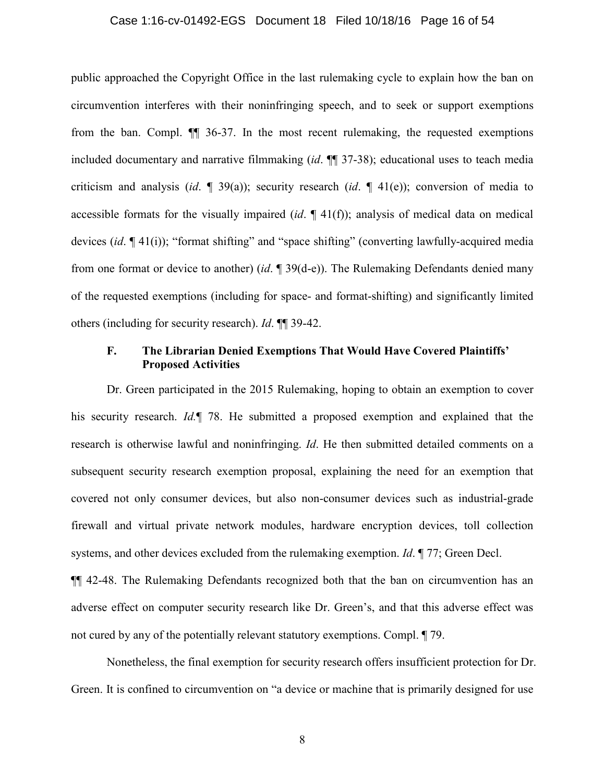#### Case 1:16-cv-01492-EGS Document 18 Filed 10/18/16 Page 16 of 54

public approached the Copyright Office in the last rulemaking cycle to explain how the ban on circumvention interferes with their noninfringing speech, and to seek or support exemptions from the ban. Compl. ¶¶ 36-37. In the most recent rulemaking, the requested exemptions included documentary and narrative filmmaking (*id*. ¶¶ 37-38); educational uses to teach media criticism and analysis (*id*. ¶ 39(a)); security research (*id*. ¶ 41(e)); conversion of media to accessible formats for the visually impaired (*id*. ¶ 41(f)); analysis of medical data on medical devices (*id*. ¶ 41(i)); "format shifting" and "space shifting" (converting lawfully-acquired media from one format or device to another) (*id*. ¶ 39(d-e)). The Rulemaking Defendants denied many of the requested exemptions (including for space- and format-shifting) and significantly limited others (including for security research). *Id*. ¶¶ 39-42.

## **F. The Librarian Denied Exemptions That Would Have Covered Plaintiffs' Proposed Activities**

Dr. Green participated in the 2015 Rulemaking, hoping to obtain an exemption to cover his security research. *Id.*¶ 78. He submitted a proposed exemption and explained that the research is otherwise lawful and noninfringing. *Id*. He then submitted detailed comments on a subsequent security research exemption proposal, explaining the need for an exemption that covered not only consumer devices, but also non-consumer devices such as industrial-grade firewall and virtual private network modules, hardware encryption devices, toll collection systems, and other devices excluded from the rulemaking exemption. *Id*. ¶ 77; Green Decl.

¶¶ 42-48. The Rulemaking Defendants recognized both that the ban on circumvention has an adverse effect on computer security research like Dr. Green's, and that this adverse effect was not cured by any of the potentially relevant statutory exemptions. Compl. ¶ 79.

Nonetheless, the final exemption for security research offers insufficient protection for Dr. Green. It is confined to circumvention on "a device or machine that is primarily designed for use

8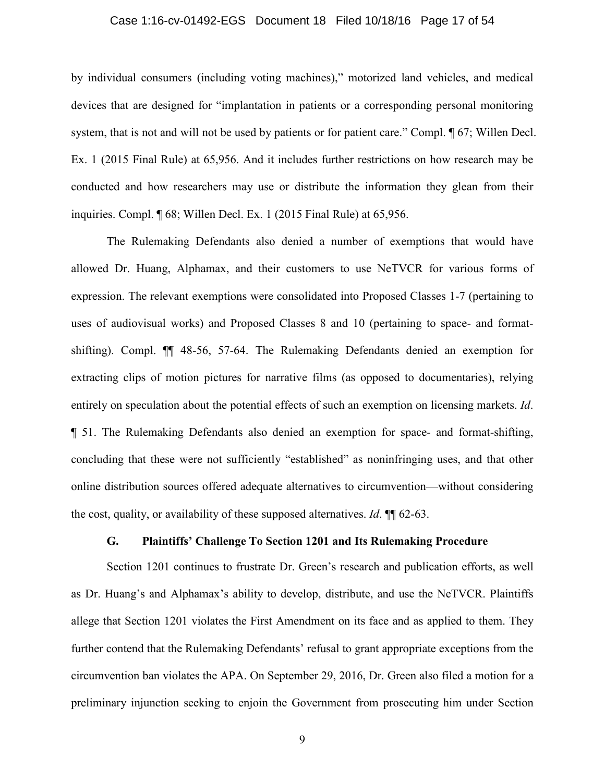#### Case 1:16-cv-01492-EGS Document 18 Filed 10/18/16 Page 17 of 54

by individual consumers (including voting machines)," motorized land vehicles, and medical devices that are designed for "implantation in patients or a corresponding personal monitoring system, that is not and will not be used by patients or for patient care." Compl.  $\P$  67; Willen Decl. Ex. 1 (2015 Final Rule) at 65,956. And it includes further restrictions on how research may be conducted and how researchers may use or distribute the information they glean from their inquiries. Compl. ¶ 68; Willen Decl. Ex. 1 (2015 Final Rule) at 65,956.

The Rulemaking Defendants also denied a number of exemptions that would have allowed Dr. Huang, Alphamax, and their customers to use NeTVCR for various forms of expression. The relevant exemptions were consolidated into Proposed Classes 1-7 (pertaining to uses of audiovisual works) and Proposed Classes 8 and 10 (pertaining to space- and formatshifting). Compl. ¶¶ 48-56, 57-64. The Rulemaking Defendants denied an exemption for extracting clips of motion pictures for narrative films (as opposed to documentaries), relying entirely on speculation about the potential effects of such an exemption on licensing markets. *Id*. ¶ 51. The Rulemaking Defendants also denied an exemption for space- and format-shifting, concluding that these were not sufficiently "established" as noninfringing uses, and that other online distribution sources offered adequate alternatives to circumvention—without considering the cost, quality, or availability of these supposed alternatives. *Id*. ¶¶ 62-63.

#### **G. Plaintiffs' Challenge To Section 1201 and Its Rulemaking Procedure**

Section 1201 continues to frustrate Dr. Green's research and publication efforts, as well as Dr. Huang's and Alphamax's ability to develop, distribute, and use the NeTVCR. Plaintiffs allege that Section 1201 violates the First Amendment on its face and as applied to them. They further contend that the Rulemaking Defendants' refusal to grant appropriate exceptions from the circumvention ban violates the APA. On September 29, 2016, Dr. Green also filed a motion for a preliminary injunction seeking to enjoin the Government from prosecuting him under Section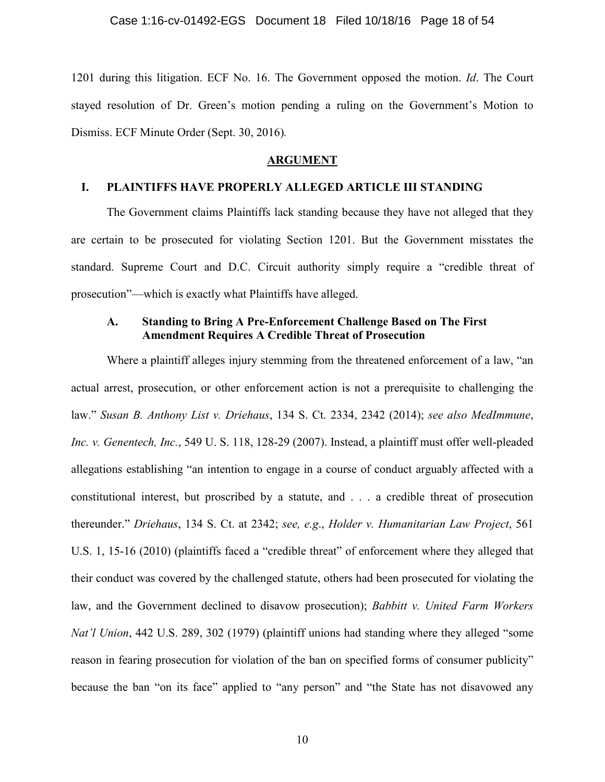1201 during this litigation. ECF No. 16. The Government opposed the motion. *Id*. The Court stayed resolution of Dr. Green's motion pending a ruling on the Government's Motion to Dismiss. ECF Minute Order (Sept. 30, 2016)*.*

#### **ARGUMENT**

## **I. PLAINTIFFS HAVE PROPERLY ALLEGED ARTICLE III STANDING**

The Government claims Plaintiffs lack standing because they have not alleged that they are certain to be prosecuted for violating Section 1201. But the Government misstates the standard. Supreme Court and D.C. Circuit authority simply require a "credible threat of prosecution"—which is exactly what Plaintiffs have alleged.

## **A. Standing to Bring A Pre-Enforcement Challenge Based on The First Amendment Requires A Credible Threat of Prosecution**

Where a plaintiff alleges injury stemming from the threatened enforcement of a law, "an actual arrest, prosecution, or other enforcement action is not a prerequisite to challenging the law." *Susan B. Anthony List v. Driehaus*, 134 S. Ct. 2334, 2342 (2014); *see also MedImmune*, *Inc. v. Genentech, Inc.*, 549 U. S. 118, 128-29 (2007). Instead, a plaintiff must offer well-pleaded allegations establishing "an intention to engage in a course of conduct arguably affected with a constitutional interest, but proscribed by a statute, and . . . a credible threat of prosecution thereunder." *Driehaus*, 134 S. Ct. at 2342; *see, e.g*., *Holder v. Humanitarian Law Project*, 561 U.S. 1, 15-16 (2010) (plaintiffs faced a "credible threat" of enforcement where they alleged that their conduct was covered by the challenged statute, others had been prosecuted for violating the law, and the Government declined to disavow prosecution); *Babbitt v. United Farm Workers Nat'l Union*, 442 U.S. 289, 302 (1979) (plaintiff unions had standing where they alleged "some reason in fearing prosecution for violation of the ban on specified forms of consumer publicity" because the ban "on its face" applied to "any person" and "the State has not disavowed any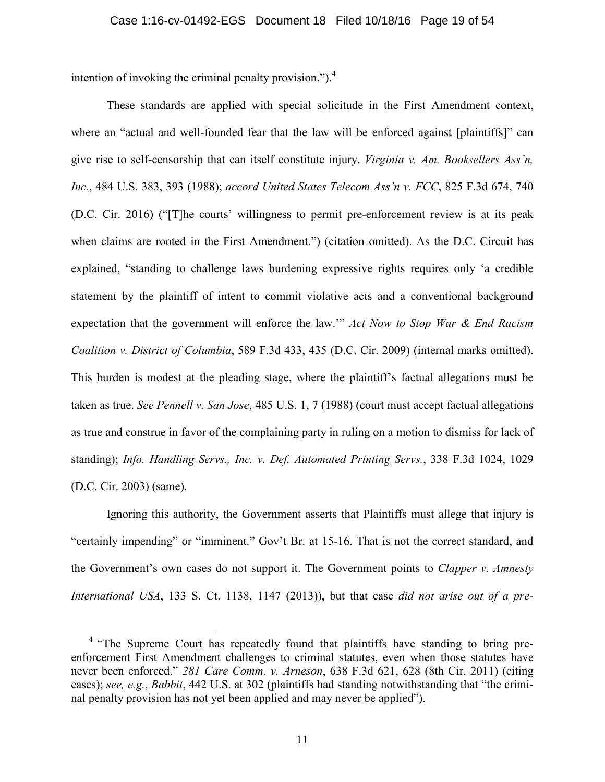intention of invoking the criminal penalty provision.").<sup>4</sup>

These standards are applied with special solicitude in the First Amendment context, where an "actual and well-founded fear that the law will be enforced against [plaintiffs]" can give rise to self-censorship that can itself constitute injury. *Virginia v. Am. Booksellers Ass'n, Inc.*, 484 U.S. 383, 393 (1988); *accord United States Telecom Ass'n v. FCC*, 825 F.3d 674, 740 (D.C. Cir. 2016) ("[T]he courts' willingness to permit pre-enforcement review is at its peak when claims are rooted in the First Amendment.") (citation omitted). As the D.C. Circuit has explained, "standing to challenge laws burdening expressive rights requires only 'a credible statement by the plaintiff of intent to commit violative acts and a conventional background expectation that the government will enforce the law.'" *Act Now to Stop War & End Racism Coalition v. District of Columbia*, 589 F.3d 433, 435 (D.C. Cir. 2009) (internal marks omitted). This burden is modest at the pleading stage, where the plaintiff's factual allegations must be taken as true. *See Pennell v. San Jose*, 485 U.S. 1, 7 (1988) (court must accept factual allegations as true and construe in favor of the complaining party in ruling on a motion to dismiss for lack of standing); *Info. Handling Servs., Inc. v. Def. Automated Printing Servs.*, 338 F.3d 1024, 1029 (D.C. Cir. 2003) (same).

Ignoring this authority, the Government asserts that Plaintiffs must allege that injury is "certainly impending" or "imminent." Gov't Br. at 15-16. That is not the correct standard, and the Government's own cases do not support it. The Government points to *Clapper v. Amnesty International USA*, 133 S. Ct. 1138, 1147 (2013)), but that case *did not arise out of a pre-*

<sup>&</sup>lt;sup>4</sup> "The Supreme Court has repeatedly found that plaintiffs have standing to bring preenforcement First Amendment challenges to criminal statutes, even when those statutes have never been enforced." *281 Care Comm. v. Arneson*, 638 F.3d 621, 628 (8th Cir. 2011) (citing cases); *see, e.g.*, *Babbit*, 442 U.S. at 302 (plaintiffs had standing notwithstanding that "the criminal penalty provision has not yet been applied and may never be applied").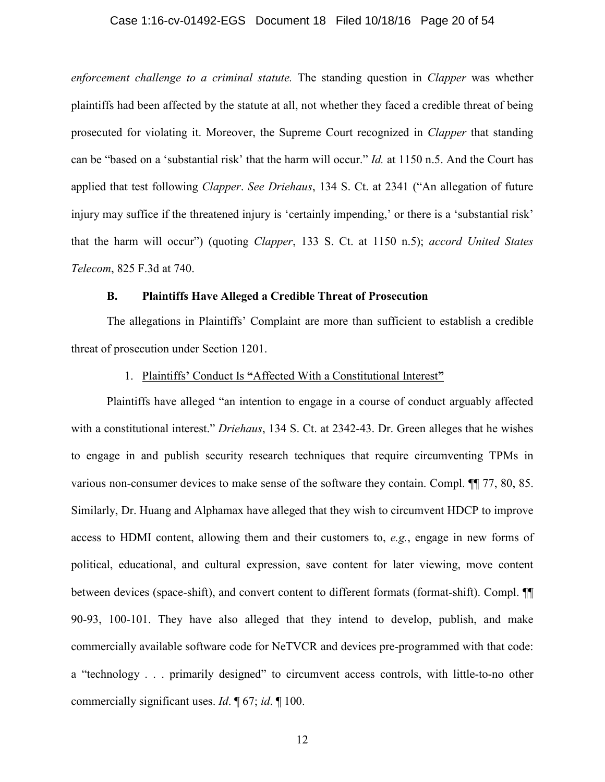#### Case 1:16-cv-01492-EGS Document 18 Filed 10/18/16 Page 20 of 54

*enforcement challenge to a criminal statute.* The standing question in *Clapper* was whether plaintiffs had been affected by the statute at all, not whether they faced a credible threat of being prosecuted for violating it. Moreover, the Supreme Court recognized in *Clapper* that standing can be "based on a 'substantial risk' that the harm will occur." *Id.* at 1150 n.5. And the Court has applied that test following *Clapper*. *See Driehaus*, 134 S. Ct. at 2341 ("An allegation of future injury may suffice if the threatened injury is 'certainly impending,' or there is a 'substantial risk' that the harm will occur") (quoting *Clapper*, 133 S. Ct. at 1150 n.5); *accord United States Telecom*, 825 F.3d at 740.

#### **B. Plaintiffs Have Alleged a Credible Threat of Prosecution**

The allegations in Plaintiffs' Complaint are more than sufficient to establish a credible threat of prosecution under Section 1201.

#### 1. Plaintiffs**'** Conduct Is **"**Affected With a Constitutional Interest**"**

Plaintiffs have alleged "an intention to engage in a course of conduct arguably affected with a constitutional interest." *Driehaus*, 134 S. Ct. at 2342-43. Dr. Green alleges that he wishes to engage in and publish security research techniques that require circumventing TPMs in various non-consumer devices to make sense of the software they contain. Compl. ¶¶ 77, 80, 85. Similarly, Dr. Huang and Alphamax have alleged that they wish to circumvent HDCP to improve access to HDMI content, allowing them and their customers to, *e.g.*, engage in new forms of political, educational, and cultural expression, save content for later viewing, move content between devices (space-shift), and convert content to different formats (format-shift). Compl. ¶¶ 90-93, 100-101. They have also alleged that they intend to develop, publish, and make commercially available software code for NeTVCR and devices pre-programmed with that code: a "technology . . . primarily designed" to circumvent access controls, with little-to-no other commercially significant uses. *Id*. ¶ 67; *id*. ¶ 100.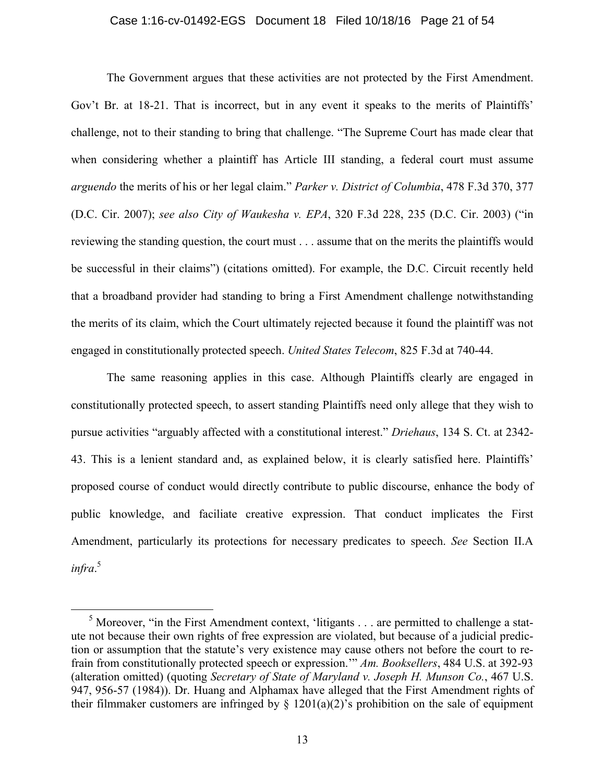#### Case 1:16-cv-01492-EGS Document 18 Filed 10/18/16 Page 21 of 54

The Government argues that these activities are not protected by the First Amendment. Gov't Br. at 18-21. That is incorrect, but in any event it speaks to the merits of Plaintiffs' challenge, not to their standing to bring that challenge. "The Supreme Court has made clear that when considering whether a plaintiff has Article III standing, a federal court must assume *arguendo* the merits of his or her legal claim." *Parker v. District of Columbia*, 478 F.3d 370, 377 (D.C. Cir. 2007); *see also City of Waukesha v. EPA*, 320 F.3d 228, 235 (D.C. Cir. 2003) ("in reviewing the standing question, the court must . . . assume that on the merits the plaintiffs would be successful in their claims") (citations omitted). For example, the D.C. Circuit recently held that a broadband provider had standing to bring a First Amendment challenge notwithstanding the merits of its claim, which the Court ultimately rejected because it found the plaintiff was not engaged in constitutionally protected speech. *United States Telecom*, 825 F.3d at 740-44.

The same reasoning applies in this case. Although Plaintiffs clearly are engaged in constitutionally protected speech, to assert standing Plaintiffs need only allege that they wish to pursue activities "arguably affected with a constitutional interest." *Driehaus*, 134 S. Ct. at 2342- 43. This is a lenient standard and, as explained below, it is clearly satisfied here. Plaintiffs' proposed course of conduct would directly contribute to public discourse, enhance the body of public knowledge, and faciliate creative expression. That conduct implicates the First Amendment, particularly its protections for necessary predicates to speech. *See* Section II.A *infra*. 5

 $<sup>5</sup>$  Moreover, "in the First Amendment context, 'litigants . . . are permitted to challenge a stat-</sup> ute not because their own rights of free expression are violated, but because of a judicial prediction or assumption that the statute's very existence may cause others not before the court to refrain from constitutionally protected speech or expression.'" *Am. Booksellers*, 484 U.S. at 392-93 (alteration omitted) (quoting *Secretary of State of Maryland v. Joseph H. Munson Co.*, 467 U.S. 947, 956-57 (1984)). Dr. Huang and Alphamax have alleged that the First Amendment rights of their filmmaker customers are infringed by  $\S$  1201(a)(2)'s prohibition on the sale of equipment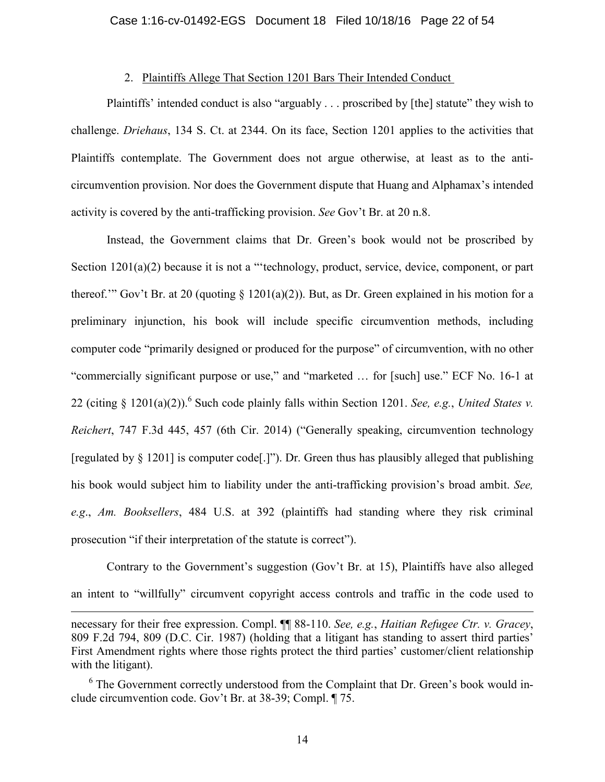## 2. Plaintiffs Allege That Section 1201 Bars Their Intended Conduct

Plaintiffs' intended conduct is also "arguably . . . proscribed by [the] statute" they wish to challenge. *Driehaus*, 134 S. Ct. at 2344. On its face, Section 1201 applies to the activities that Plaintiffs contemplate. The Government does not argue otherwise, at least as to the anticircumvention provision. Nor does the Government dispute that Huang and Alphamax's intended activity is covered by the anti-trafficking provision. *See* Gov't Br. at 20 n.8.

Instead, the Government claims that Dr. Green's book would not be proscribed by Section 1201(a)(2) because it is not a "'technology, product, service, device, component, or part thereof.'" Gov't Br. at 20 (quoting  $\S$  1201(a)(2)). But, as Dr. Green explained in his motion for a preliminary injunction, his book will include specific circumvention methods, including computer code "primarily designed or produced for the purpose" of circumvention, with no other "commercially significant purpose or use," and "marketed … for [such] use." ECF No. 16-1 at 22 (citing § 1201(a)(2)).<sup>6</sup> Such code plainly falls within Section 1201. *See, e.g.*, *United States v. Reichert*, 747 F.3d 445, 457 (6th Cir. 2014) ("Generally speaking, circumvention technology [regulated by § 1201] is computer code[.]"). Dr. Green thus has plausibly alleged that publishing his book would subject him to liability under the anti-trafficking provision's broad ambit. *See, e.g*., *Am. Booksellers*, 484 U.S. at 392 (plaintiffs had standing where they risk criminal prosecution "if their interpretation of the statute is correct").

Contrary to the Government's suggestion (Gov't Br. at 15), Plaintiffs have also alleged an intent to "willfully" circumvent copyright access controls and traffic in the code used to

14

necessary for their free expression. Compl. ¶¶ 88-110. *See, e.g.*, *Haitian Refugee Ctr. v. Gracey*, 809 F.2d 794, 809 (D.C. Cir. 1987) (holding that a litigant has standing to assert third parties' First Amendment rights where those rights protect the third parties' customer/client relationship with the litigant).

<sup>&</sup>lt;sup>6</sup> The Government correctly understood from the Complaint that Dr. Green's book would include circumvention code. Gov't Br. at 38-39; Compl. ¶ 75.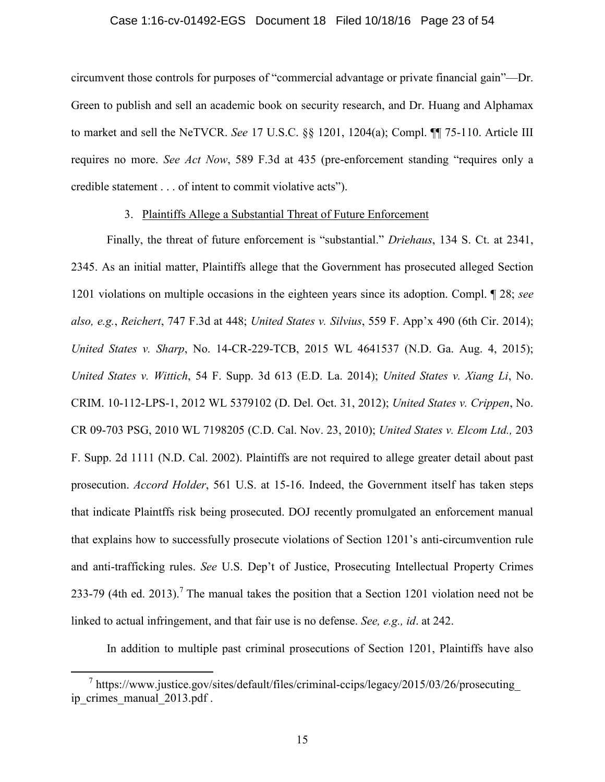#### Case 1:16-cv-01492-EGS Document 18 Filed 10/18/16 Page 23 of 54

circumvent those controls for purposes of "commercial advantage or private financial gain"—Dr. Green to publish and sell an academic book on security research, and Dr. Huang and Alphamax to market and sell the NeTVCR. *See* 17 U.S.C. §§ 1201, 1204(a); Compl. ¶¶ 75-110. Article III requires no more. *See Act Now*, 589 F.3d at 435 (pre-enforcement standing "requires only a credible statement . . . of intent to commit violative acts").

#### 3. Plaintiffs Allege a Substantial Threat of Future Enforcement

Finally, the threat of future enforcement is "substantial." *Driehaus*, 134 S. Ct. at 2341, 2345. As an initial matter, Plaintiffs allege that the Government has prosecuted alleged Section 1201 violations on multiple occasions in the eighteen years since its adoption. Compl. ¶ 28; *see also, e.g.*, *Reichert*, 747 F.3d at 448; *United States v. Silvius*, 559 F. App'x 490 (6th Cir. 2014); *United States v. Sharp*, No. 14-CR-229-TCB, 2015 WL 4641537 (N.D. Ga. Aug. 4, 2015); *United States v. Wittich*, 54 F. Supp. 3d 613 (E.D. La. 2014); *United States v. Xiang Li*, No. CRIM. 10-112-LPS-1, 2012 WL 5379102 (D. Del. Oct. 31, 2012); *United States v. Crippen*, No. CR 09-703 PSG, 2010 WL 7198205 (C.D. Cal. Nov. 23, 2010); *United States v. Elcom Ltd.,* 203 F. Supp. 2d 1111 (N.D. Cal. 2002). Plaintiffs are not required to allege greater detail about past prosecution. *Accord Holder*, 561 U.S. at 15-16. Indeed, the Government itself has taken steps that indicate Plaintffs risk being prosecuted. DOJ recently promulgated an enforcement manual that explains how to successfully prosecute violations of Section 1201's anti-circumvention rule and anti-trafficking rules. *See* U.S. Dep't of Justice, Prosecuting Intellectual Property Crimes 233-79 (4th ed. 2013).<sup>7</sup> The manual takes the position that a Section 1201 violation need not be linked to actual infringement, and that fair use is no defense. *See, e.g., id*. at 242.

In addition to multiple past criminal prosecutions of Section 1201, Plaintiffs have also

<sup>7</sup> https://www.justice.gov/sites/default/files/criminal-ccips/legacy/2015/03/26/prosecuting\_ ip\_crimes\_manual\_2013.pdf .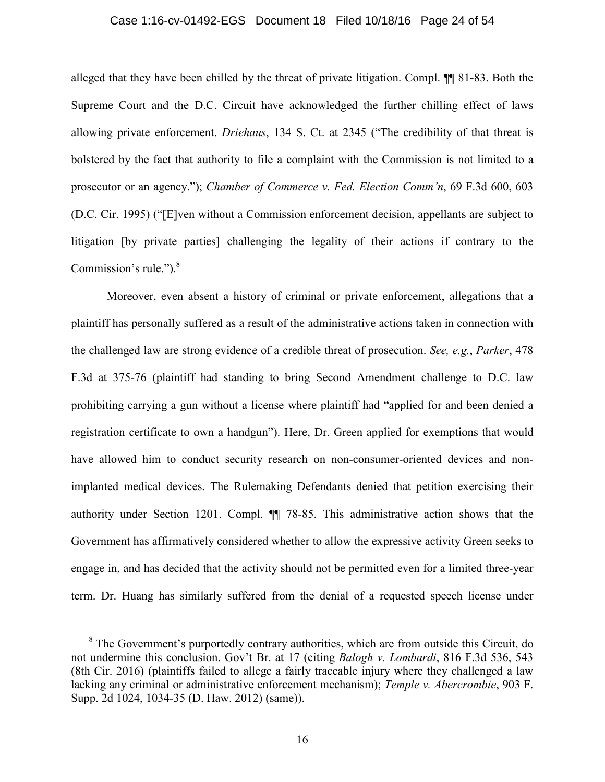#### Case 1:16-cv-01492-EGS Document 18 Filed 10/18/16 Page 24 of 54

alleged that they have been chilled by the threat of private litigation. Compl. ¶¶ 81-83. Both the Supreme Court and the D.C. Circuit have acknowledged the further chilling effect of laws allowing private enforcement. *Driehaus*, 134 S. Ct. at 2345 ("The credibility of that threat is bolstered by the fact that authority to file a complaint with the Commission is not limited to a prosecutor or an agency."); *Chamber of Commerce v. Fed. Election Comm'n*, 69 F.3d 600, 603 (D.C. Cir. 1995) ("[E]ven without a Commission enforcement decision, appellants are subject to litigation [by private parties] challenging the legality of their actions if contrary to the Commission's rule." $)^8$ 

Moreover, even absent a history of criminal or private enforcement, allegations that a plaintiff has personally suffered as a result of the administrative actions taken in connection with the challenged law are strong evidence of a credible threat of prosecution. *See, e.g.*, *Parker*, 478 F.3d at 375-76 (plaintiff had standing to bring Second Amendment challenge to D.C. law prohibiting carrying a gun without a license where plaintiff had "applied for and been denied a registration certificate to own a handgun"). Here, Dr. Green applied for exemptions that would have allowed him to conduct security research on non-consumer-oriented devices and nonimplanted medical devices. The Rulemaking Defendants denied that petition exercising their authority under Section 1201. Compl. ¶¶ 78-85. This administrative action shows that the Government has affirmatively considered whether to allow the expressive activity Green seeks to engage in, and has decided that the activity should not be permitted even for a limited three-year term. Dr. Huang has similarly suffered from the denial of a requested speech license under

<sup>&</sup>lt;sup>8</sup> The Government's purportedly contrary authorities, which are from outside this Circuit, do not undermine this conclusion. Gov't Br. at 17 (citing *Balogh v. Lombardi*, 816 F.3d 536, 543 (8th Cir. 2016) (plaintiffs failed to allege a fairly traceable injury where they challenged a law lacking any criminal or administrative enforcement mechanism); *Temple v. Abercrombie*, 903 F. Supp. 2d 1024, 1034-35 (D. Haw. 2012) (same)).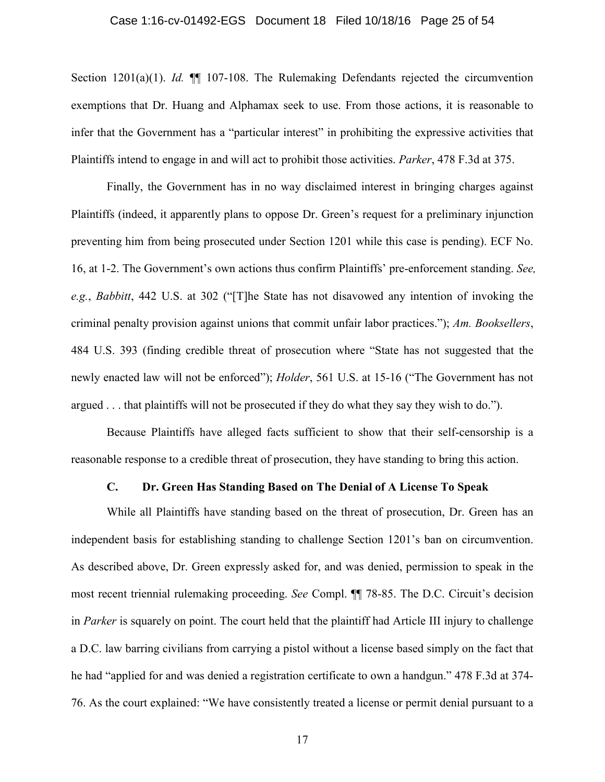#### Case 1:16-cv-01492-EGS Document 18 Filed 10/18/16 Page 25 of 54

Section 1201(a)(1). *Id.* ¶¶ 107-108. The Rulemaking Defendants rejected the circumvention exemptions that Dr. Huang and Alphamax seek to use. From those actions, it is reasonable to infer that the Government has a "particular interest" in prohibiting the expressive activities that Plaintiffs intend to engage in and will act to prohibit those activities. *Parker*, 478 F.3d at 375.

Finally, the Government has in no way disclaimed interest in bringing charges against Plaintiffs (indeed, it apparently plans to oppose Dr. Green's request for a preliminary injunction preventing him from being prosecuted under Section 1201 while this case is pending). ECF No. 16, at 1-2. The Government's own actions thus confirm Plaintiffs' pre-enforcement standing. *See, e.g.*, *Babbitt*, 442 U.S. at 302 ("[T]he State has not disavowed any intention of invoking the criminal penalty provision against unions that commit unfair labor practices."); *Am. Booksellers*, 484 U.S. 393 (finding credible threat of prosecution where "State has not suggested that the newly enacted law will not be enforced"); *Holder*, 561 U.S. at 15-16 ("The Government has not argued . . . that plaintiffs will not be prosecuted if they do what they say they wish to do.").

Because Plaintiffs have alleged facts sufficient to show that their self-censorship is a reasonable response to a credible threat of prosecution, they have standing to bring this action.

#### **C. Dr. Green Has Standing Based on The Denial of A License To Speak**

While all Plaintiffs have standing based on the threat of prosecution, Dr. Green has an independent basis for establishing standing to challenge Section 1201's ban on circumvention. As described above, Dr. Green expressly asked for, and was denied, permission to speak in the most recent triennial rulemaking proceeding. *See* Compl. ¶¶ 78-85. The D.C. Circuit's decision in *Parker* is squarely on point. The court held that the plaintiff had Article III injury to challenge a D.C. law barring civilians from carrying a pistol without a license based simply on the fact that he had "applied for and was denied a registration certificate to own a handgun." 478 F.3d at 374- 76. As the court explained: "We have consistently treated a license or permit denial pursuant to a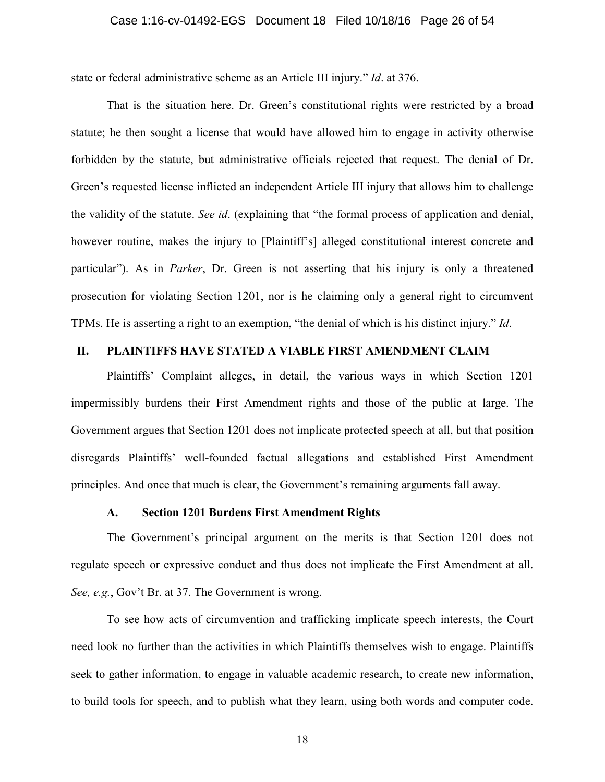#### Case 1:16-cv-01492-EGS Document 18 Filed 10/18/16 Page 26 of 54

state or federal administrative scheme as an Article III injury." *Id*. at 376.

That is the situation here. Dr. Green's constitutional rights were restricted by a broad statute; he then sought a license that would have allowed him to engage in activity otherwise forbidden by the statute, but administrative officials rejected that request. The denial of Dr. Green's requested license inflicted an independent Article III injury that allows him to challenge the validity of the statute. *See id*. (explaining that "the formal process of application and denial, however routine, makes the injury to [Plaintiff's] alleged constitutional interest concrete and particular"). As in *Parker*, Dr. Green is not asserting that his injury is only a threatened prosecution for violating Section 1201, nor is he claiming only a general right to circumvent TPMs. He is asserting a right to an exemption, "the denial of which is his distinct injury." *Id*.

## **II. PLAINTIFFS HAVE STATED A VIABLE FIRST AMENDMENT CLAIM**

Plaintiffs' Complaint alleges, in detail, the various ways in which Section 1201 impermissibly burdens their First Amendment rights and those of the public at large. The Government argues that Section 1201 does not implicate protected speech at all, but that position disregards Plaintiffs' well-founded factual allegations and established First Amendment principles. And once that much is clear, the Government's remaining arguments fall away.

## **A. Section 1201 Burdens First Amendment Rights**

The Government's principal argument on the merits is that Section 1201 does not regulate speech or expressive conduct and thus does not implicate the First Amendment at all. *See, e.g.*, Gov't Br. at 37. The Government is wrong.

To see how acts of circumvention and trafficking implicate speech interests, the Court need look no further than the activities in which Plaintiffs themselves wish to engage. Plaintiffs seek to gather information, to engage in valuable academic research, to create new information, to build tools for speech, and to publish what they learn, using both words and computer code.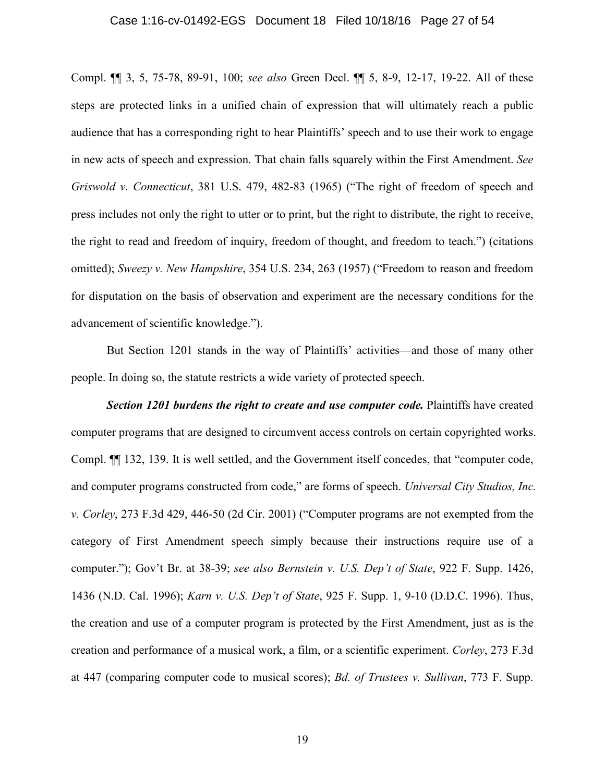#### Case 1:16-cv-01492-EGS Document 18 Filed 10/18/16 Page 27 of 54

Compl. ¶¶ 3, 5, 75-78, 89-91, 100; *see also* Green Decl. ¶¶ 5, 8-9, 12-17, 19-22. All of these steps are protected links in a unified chain of expression that will ultimately reach a public audience that has a corresponding right to hear Plaintiffs' speech and to use their work to engage in new acts of speech and expression. That chain falls squarely within the First Amendment. *See Griswold v. Connecticut*, 381 U.S. 479, 482-83 (1965) ("The right of freedom of speech and press includes not only the right to utter or to print, but the right to distribute, the right to receive, the right to read and freedom of inquiry, freedom of thought, and freedom to teach.") (citations omitted); *Sweezy v. New Hampshire*, 354 U.S. 234, 263 (1957) ("Freedom to reason and freedom for disputation on the basis of observation and experiment are the necessary conditions for the advancement of scientific knowledge.").

But Section 1201 stands in the way of Plaintiffs' activities—and those of many other people. In doing so, the statute restricts a wide variety of protected speech.

*Section 1201 burdens the right to create and use computer code.* Plaintiffs have created computer programs that are designed to circumvent access controls on certain copyrighted works. Compl. ¶¶ 132, 139. It is well settled, and the Government itself concedes, that "computer code, and computer programs constructed from code," are forms of speech. *Universal City Studios, Inc. v. Corley*, 273 F.3d 429, 446-50 (2d Cir. 2001) ("Computer programs are not exempted from the category of First Amendment speech simply because their instructions require use of a computer."); Gov't Br. at 38-39; *see also Bernstein v. U.S. Dep't of State*, 922 F. Supp. 1426, 1436 (N.D. Cal. 1996); *Karn v. U.S. Dep't of State*, 925 F. Supp. 1, 9-10 (D.D.C. 1996). Thus, the creation and use of a computer program is protected by the First Amendment, just as is the creation and performance of a musical work, a film, or a scientific experiment. *Corley*, 273 F.3d at 447 (comparing computer code to musical scores); *Bd. of Trustees v. Sullivan*, 773 F. Supp.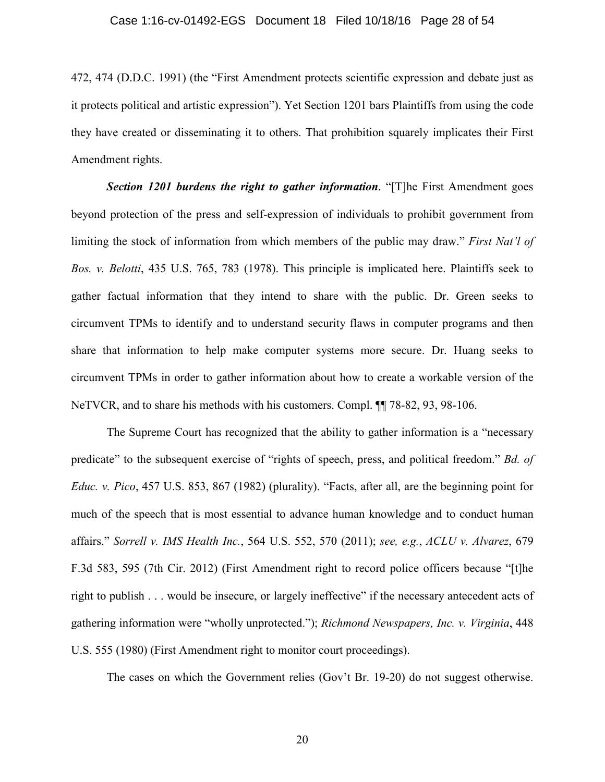472, 474 (D.D.C. 1991) (the "First Amendment protects scientific expression and debate just as it protects political and artistic expression"). Yet Section 1201 bars Plaintiffs from using the code they have created or disseminating it to others. That prohibition squarely implicates their First Amendment rights.

*Section 1201 burdens the right to gather information*. "[T]he First Amendment goes beyond protection of the press and self-expression of individuals to prohibit government from limiting the stock of information from which members of the public may draw." *First Nat'l of Bos. v. Belotti*, 435 U.S. 765, 783 (1978). This principle is implicated here. Plaintiffs seek to gather factual information that they intend to share with the public. Dr. Green seeks to circumvent TPMs to identify and to understand security flaws in computer programs and then share that information to help make computer systems more secure. Dr. Huang seeks to circumvent TPMs in order to gather information about how to create a workable version of the NeTVCR, and to share his methods with his customers. Compl. ¶¶ 78-82, 93, 98-106.

The Supreme Court has recognized that the ability to gather information is a "necessary predicate" to the subsequent exercise of "rights of speech, press, and political freedom." *Bd. of Educ. v. Pico*, 457 U.S. 853, 867 (1982) (plurality). "Facts, after all, are the beginning point for much of the speech that is most essential to advance human knowledge and to conduct human affairs." *Sorrell v. IMS Health Inc.*, 564 U.S. 552, 570 (2011); *see, e.g.*, *ACLU v. Alvarez*, 679 F.3d 583, 595 (7th Cir. 2012) (First Amendment right to record police officers because "[t]he right to publish . . . would be insecure, or largely ineffective" if the necessary antecedent acts of gathering information were "wholly unprotected."); *Richmond Newspapers, Inc. v. Virginia*, 448 U.S. 555 (1980) (First Amendment right to monitor court proceedings).

The cases on which the Government relies (Gov't Br. 19-20) do not suggest otherwise.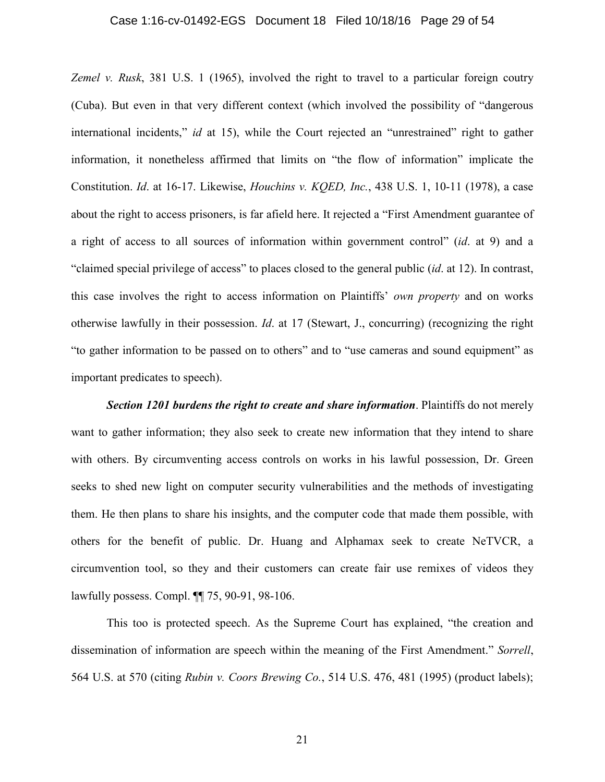#### Case 1:16-cv-01492-EGS Document 18 Filed 10/18/16 Page 29 of 54

*Zemel v. Rusk*, 381 U.S. 1 (1965), involved the right to travel to a particular foreign coutry (Cuba). But even in that very different context (which involved the possibility of "dangerous international incidents," *id* at 15), while the Court rejected an "unrestrained" right to gather information, it nonetheless affirmed that limits on "the flow of information" implicate the Constitution. *Id*. at 16-17. Likewise, *Houchins v. KQED, Inc.*, 438 U.S. 1, 10-11 (1978), a case about the right to access prisoners, is far afield here. It rejected a "First Amendment guarantee of a right of access to all sources of information within government control" (*id*. at 9) and a "claimed special privilege of access" to places closed to the general public (*id*. at 12). In contrast, this case involves the right to access information on Plaintiffs' *own property* and on works otherwise lawfully in their possession. *Id*. at 17 (Stewart, J., concurring) (recognizing the right "to gather information to be passed on to others" and to "use cameras and sound equipment" as important predicates to speech).

*Section 1201 burdens the right to create and share information*. Plaintiffs do not merely want to gather information; they also seek to create new information that they intend to share with others. By circumventing access controls on works in his lawful possession, Dr. Green seeks to shed new light on computer security vulnerabilities and the methods of investigating them. He then plans to share his insights, and the computer code that made them possible, with others for the benefit of public. Dr. Huang and Alphamax seek to create NeTVCR, a circumvention tool, so they and their customers can create fair use remixes of videos they lawfully possess. Compl. ¶¶ 75, 90-91, 98-106.

This too is protected speech. As the Supreme Court has explained, "the creation and dissemination of information are speech within the meaning of the First Amendment." *Sorrell*, 564 U.S. at 570 (citing *Rubin v. Coors Brewing Co.*, 514 U.S. 476, 481 (1995) (product labels);

21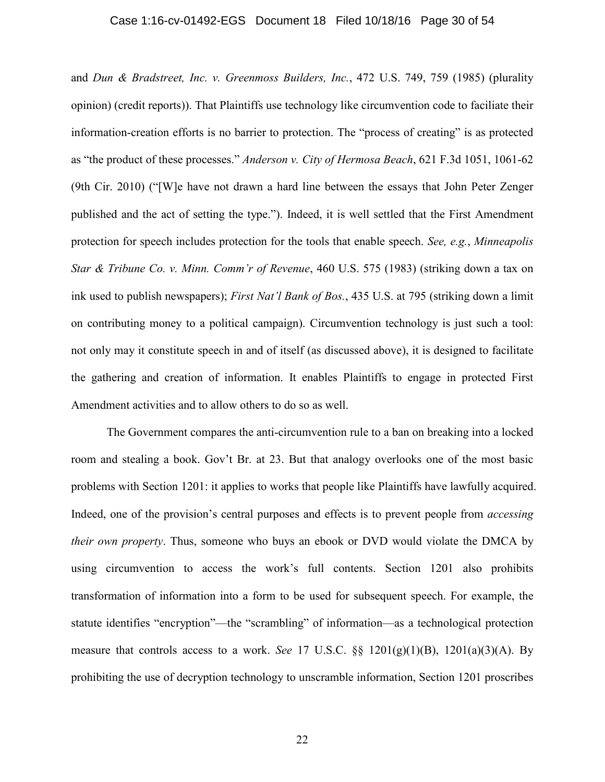#### Case 1:16-cv-01492-EGS Document 18 Filed 10/18/16 Page 30 of 54

and *Dun & Bradstreet, Inc. v. Greenmoss Builders, Inc.*, 472 U.S. 749, 759 (1985) (plurality opinion) (credit reports)). That Plaintiffs use technology like circumvention code to faciliate their information-creation efforts is no barrier to protection. The "process of creating" is as protected as "the product of these processes." *Anderson v. City of Hermosa Beach*, 621 F.3d 1051, 1061-62 (9th Cir. 2010) ("[W]e have not drawn a hard line between the essays that John Peter Zenger published and the act of setting the type."). Indeed, it is well settled that the First Amendment protection for speech includes protection for the tools that enable speech. *See, e.g.*, *Minneapolis Star & Tribune Co. v. Minn. Comm'r of Revenue*, 460 U.S. 575 (1983) (striking down a tax on ink used to publish newspapers); *First Nat'l Bank of Bos.*, 435 U.S. at 795 (striking down a limit on contributing money to a political campaign). Circumvention technology is just such a tool: not only may it constitute speech in and of itself (as discussed above), it is designed to facilitate the gathering and creation of information. It enables Plaintiffs to engage in protected First Amendment activities and to allow others to do so as well.

The Government compares the anti-circumvention rule to a ban on breaking into a locked room and stealing a book. Gov't Br. at 23. But that analogy overlooks one of the most basic problems with Section 1201: it applies to works that people like Plaintiffs have lawfully acquired. Indeed, one of the provision's central purposes and effects is to prevent people from *accessing their own property*. Thus, someone who buys an ebook or DVD would violate the DMCA by using circumvention to access the work's full contents. Section 1201 also prohibits transformation of information into a form to be used for subsequent speech. For example, the statute identifies "encryption"—the "scrambling" of information—as a technological protection measure that controls access to a work. *See* 17 U.S.C. §§ 1201(g)(1)(B), 1201(a)(3)(A). By prohibiting the use of decryption technology to unscramble information, Section 1201 proscribes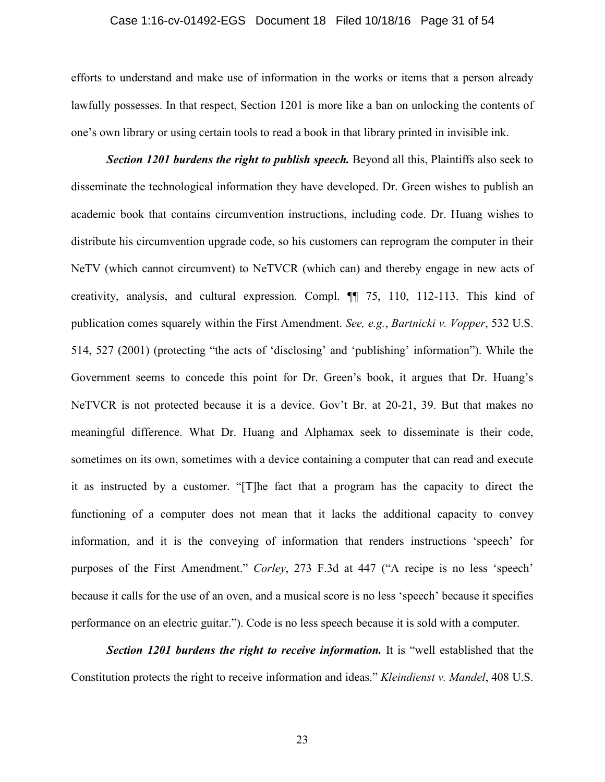#### Case 1:16-cv-01492-EGS Document 18 Filed 10/18/16 Page 31 of 54

efforts to understand and make use of information in the works or items that a person already lawfully possesses. In that respect, Section 1201 is more like a ban on unlocking the contents of one's own library or using certain tools to read a book in that library printed in invisible ink.

*Section 1201 burdens the right to publish speech.* Beyond all this, Plaintiffs also seek to disseminate the technological information they have developed. Dr. Green wishes to publish an academic book that contains circumvention instructions, including code. Dr. Huang wishes to distribute his circumvention upgrade code, so his customers can reprogram the computer in their NeTV (which cannot circumvent) to NeTVCR (which can) and thereby engage in new acts of creativity, analysis, and cultural expression. Compl. ¶¶ 75, 110, 112-113. This kind of publication comes squarely within the First Amendment. *See, e.g.*, *Bartnicki v. Vopper*, 532 U.S. 514, 527 (2001) (protecting "the acts of 'disclosing' and 'publishing' information"). While the Government seems to concede this point for Dr. Green's book, it argues that Dr. Huang's NeTVCR is not protected because it is a device. Gov't Br. at 20-21, 39. But that makes no meaningful difference. What Dr. Huang and Alphamax seek to disseminate is their code, sometimes on its own, sometimes with a device containing a computer that can read and execute it as instructed by a customer. "[T]he fact that a program has the capacity to direct the functioning of a computer does not mean that it lacks the additional capacity to convey information, and it is the conveying of information that renders instructions 'speech' for purposes of the First Amendment." *Corley*, 273 F.3d at 447 ("A recipe is no less 'speech' because it calls for the use of an oven, and a musical score is no less 'speech' because it specifies performance on an electric guitar."). Code is no less speech because it is sold with a computer.

*Section 1201 burdens the right to receive information.* It is "well established that the Constitution protects the right to receive information and ideas." *Kleindienst v. Mandel*, 408 U.S.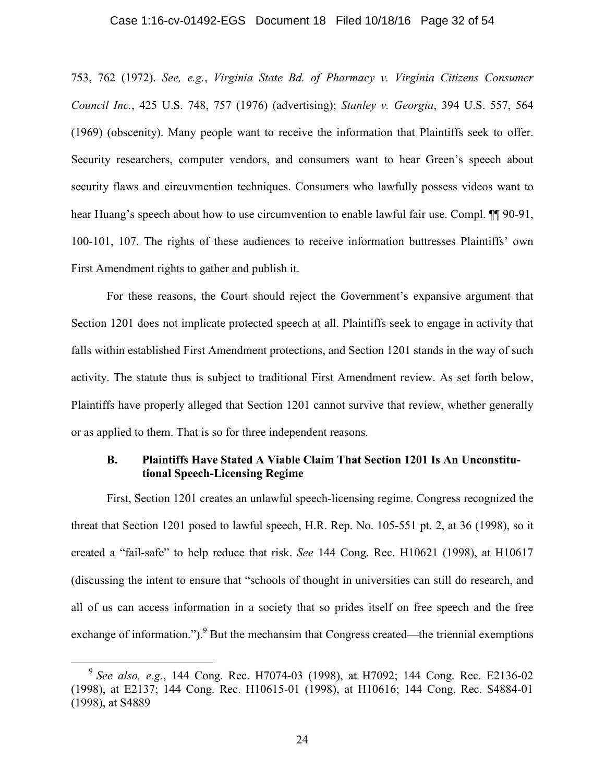#### Case 1:16-cv-01492-EGS Document 18 Filed 10/18/16 Page 32 of 54

753, 762 (1972). *See, e.g.*, *Virginia State Bd. of Pharmacy v. Virginia Citizens Consumer Council Inc.*, 425 U.S. 748, 757 (1976) (advertising); *Stanley v. Georgia*, 394 U.S. 557, 564 (1969) (obscenity). Many people want to receive the information that Plaintiffs seek to offer. Security researchers, computer vendors, and consumers want to hear Green's speech about security flaws and circuvmention techniques. Consumers who lawfully possess videos want to hear Huang's speech about how to use circumvention to enable lawful fair use. Compl.  $\P$  90-91, 100-101, 107. The rights of these audiences to receive information buttresses Plaintiffs' own First Amendment rights to gather and publish it.

For these reasons, the Court should reject the Government's expansive argument that Section 1201 does not implicate protected speech at all. Plaintiffs seek to engage in activity that falls within established First Amendment protections, and Section 1201 stands in the way of such activity. The statute thus is subject to traditional First Amendment review. As set forth below, Plaintiffs have properly alleged that Section 1201 cannot survive that review, whether generally or as applied to them. That is so for three independent reasons.

## **B. Plaintiffs Have Stated A Viable Claim That Section 1201 Is An Unconstitutional Speech-Licensing Regime**

First, Section 1201 creates an unlawful speech-licensing regime. Congress recognized the threat that Section 1201 posed to lawful speech, H.R. Rep. No. 105-551 pt. 2, at 36 (1998), so it created a "fail-safe" to help reduce that risk. *See* 144 Cong. Rec. H10621 (1998), at H10617 (discussing the intent to ensure that "schools of thought in universities can still do research, and all of us can access information in a society that so prides itself on free speech and the free exchange of information.").<sup>9</sup> But the mechansim that Congress created—the triennial exemptions

<sup>9</sup> *See also, e.g.*, 144 Cong. Rec. H7074-03 (1998), at H7092; 144 Cong. Rec. E2136-02 (1998), at E2137; 144 Cong. Rec. H10615-01 (1998), at H10616; 144 Cong. Rec. S4884-01 (1998), at S4889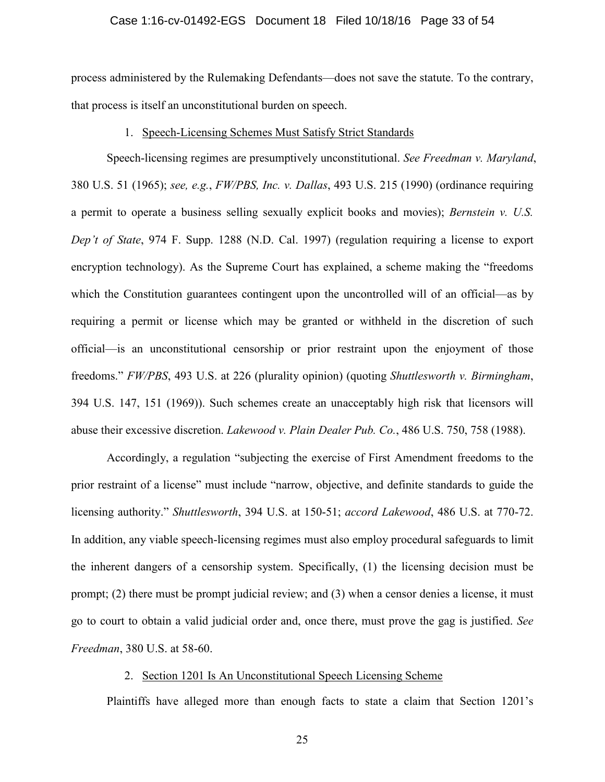#### Case 1:16-cv-01492-EGS Document 18 Filed 10/18/16 Page 33 of 54

process administered by the Rulemaking Defendants—does not save the statute. To the contrary, that process is itself an unconstitutional burden on speech.

#### 1. Speech-Licensing Schemes Must Satisfy Strict Standards

Speech-licensing regimes are presumptively unconstitutional. *See Freedman v. Maryland*, 380 U.S. 51 (1965); *see, e.g.*, *FW/PBS, Inc. v. Dallas*, 493 U.S. 215 (1990) (ordinance requiring a permit to operate a business selling sexually explicit books and movies); *Bernstein v. U.S. Dep't of State*, 974 F. Supp. 1288 (N.D. Cal. 1997) (regulation requiring a license to export encryption technology). As the Supreme Court has explained, a scheme making the "freedoms which the Constitution guarantees contingent upon the uncontrolled will of an official—as by requiring a permit or license which may be granted or withheld in the discretion of such official—is an unconstitutional censorship or prior restraint upon the enjoyment of those freedoms." *FW/PBS*, 493 U.S. at 226 (plurality opinion) (quoting *Shuttlesworth v. Birmingham*, 394 U.S. 147, 151 (1969)). Such schemes create an unacceptably high risk that licensors will abuse their excessive discretion. *Lakewood v. Plain Dealer Pub. Co.*, 486 U.S. 750, 758 (1988).

Accordingly, a regulation "subjecting the exercise of First Amendment freedoms to the prior restraint of a license" must include "narrow, objective, and definite standards to guide the licensing authority." *Shuttlesworth*, 394 U.S. at 150-51; *accord Lakewood*, 486 U.S. at 770-72. In addition, any viable speech-licensing regimes must also employ procedural safeguards to limit the inherent dangers of a censorship system. Specifically, (1) the licensing decision must be prompt; (2) there must be prompt judicial review; and (3) when a censor denies a license, it must go to court to obtain a valid judicial order and, once there, must prove the gag is justified. *See Freedman*, 380 U.S. at 58-60.

### 2. Section 1201 Is An Unconstitutional Speech Licensing Scheme

Plaintiffs have alleged more than enough facts to state a claim that Section 1201's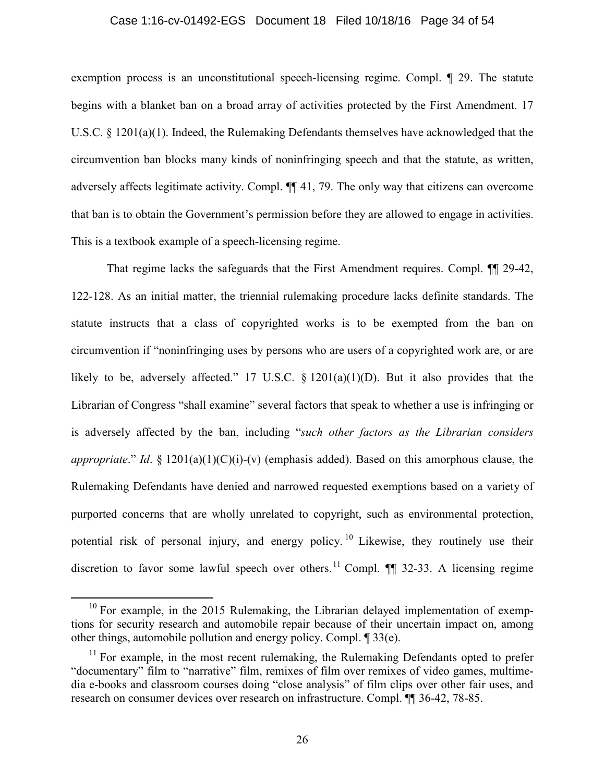#### Case 1:16-cv-01492-EGS Document 18 Filed 10/18/16 Page 34 of 54

exemption process is an unconstitutional speech-licensing regime. Compl. ¶ 29. The statute begins with a blanket ban on a broad array of activities protected by the First Amendment. 17 U.S.C. § 1201(a)(1). Indeed, the Rulemaking Defendants themselves have acknowledged that the circumvention ban blocks many kinds of noninfringing speech and that the statute, as written, adversely affects legitimate activity. Compl. ¶¶ 41, 79. The only way that citizens can overcome that ban is to obtain the Government's permission before they are allowed to engage in activities. This is a textbook example of a speech-licensing regime.

That regime lacks the safeguards that the First Amendment requires. Compl. ¶¶ 29-42, 122-128. As an initial matter, the triennial rulemaking procedure lacks definite standards. The statute instructs that a class of copyrighted works is to be exempted from the ban on circumvention if "noninfringing uses by persons who are users of a copyrighted work are, or are likely to be, adversely affected." 17 U.S.C.  $\S$  1201(a)(1)(D). But it also provides that the Librarian of Congress "shall examine" several factors that speak to whether a use is infringing or is adversely affected by the ban, including "*such other factors as the Librarian considers appropriate*." *Id*. § 1201(a)(1)(C)(i)-(v) (emphasis added). Based on this amorphous clause, the Rulemaking Defendants have denied and narrowed requested exemptions based on a variety of purported concerns that are wholly unrelated to copyright, such as environmental protection, potential risk of personal injury, and energy policy.<sup>10</sup> Likewise, they routinely use their discretion to favor some lawful speech over others.<sup>11</sup> Compl.  $\P$  32-33. A licensing regime

<sup>&</sup>lt;sup>10</sup> For example, in the 2015 Rulemaking, the Librarian delayed implementation of exemptions for security research and automobile repair because of their uncertain impact on, among other things, automobile pollution and energy policy. Compl. ¶ 33(e).

 $11$  For example, in the most recent rulemaking, the Rulemaking Defendants opted to prefer "documentary" film to "narrative" film, remixes of film over remixes of video games, multimedia e-books and classroom courses doing "close analysis" of film clips over other fair uses, and research on consumer devices over research on infrastructure. Compl. ¶¶ 36-42, 78-85.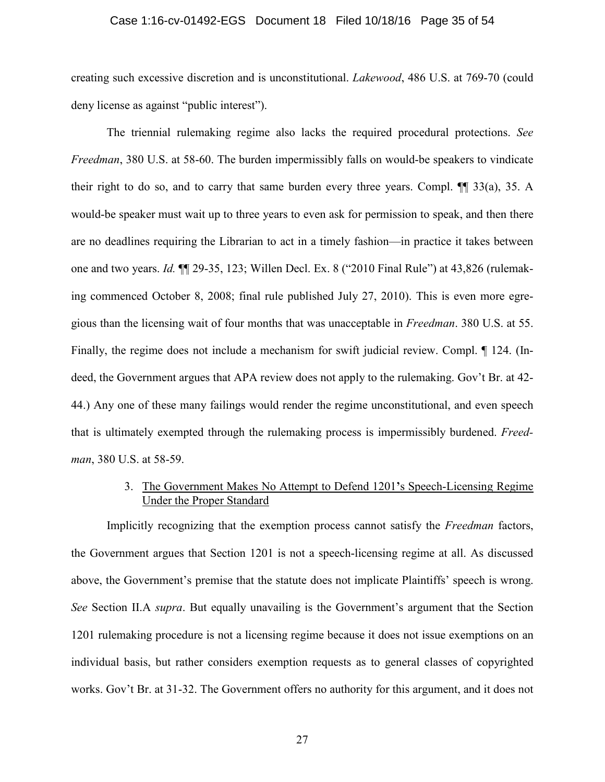#### Case 1:16-cv-01492-EGS Document 18 Filed 10/18/16 Page 35 of 54

creating such excessive discretion and is unconstitutional. *Lakewood*, 486 U.S. at 769-70 (could deny license as against "public interest").

The triennial rulemaking regime also lacks the required procedural protections. *See Freedman*, 380 U.S. at 58-60. The burden impermissibly falls on would-be speakers to vindicate their right to do so, and to carry that same burden every three years. Compl. ¶¶ 33(a), 35. A would-be speaker must wait up to three years to even ask for permission to speak, and then there are no deadlines requiring the Librarian to act in a timely fashion—in practice it takes between one and two years. *Id.* ¶¶ 29-35, 123; Willen Decl. Ex. 8 ("2010 Final Rule") at 43,826 (rulemaking commenced October 8, 2008; final rule published July 27, 2010). This is even more egregious than the licensing wait of four months that was unacceptable in *Freedman*. 380 U.S. at 55. Finally, the regime does not include a mechanism for swift judicial review. Compl. ¶ 124. (Indeed, the Government argues that APA review does not apply to the rulemaking. Gov't Br. at 42- 44.) Any one of these many failings would render the regime unconstitutional, and even speech that is ultimately exempted through the rulemaking process is impermissibly burdened. *Freedman*, 380 U.S. at 58-59.

## 3. The Government Makes No Attempt to Defend 1201**'**s Speech-Licensing Regime Under the Proper Standard

Implicitly recognizing that the exemption process cannot satisfy the *Freedman* factors, the Government argues that Section 1201 is not a speech-licensing regime at all. As discussed above, the Government's premise that the statute does not implicate Plaintiffs' speech is wrong. *See* Section II.A *supra*. But equally unavailing is the Government's argument that the Section 1201 rulemaking procedure is not a licensing regime because it does not issue exemptions on an individual basis, but rather considers exemption requests as to general classes of copyrighted works. Gov't Br. at 31-32. The Government offers no authority for this argument, and it does not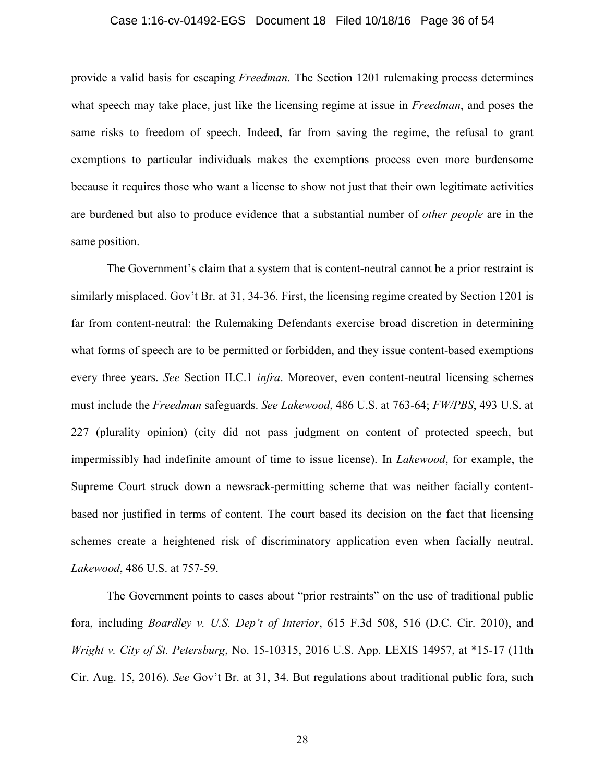#### Case 1:16-cv-01492-EGS Document 18 Filed 10/18/16 Page 36 of 54

provide a valid basis for escaping *Freedman*. The Section 1201 rulemaking process determines what speech may take place, just like the licensing regime at issue in *Freedman*, and poses the same risks to freedom of speech. Indeed, far from saving the regime, the refusal to grant exemptions to particular individuals makes the exemptions process even more burdensome because it requires those who want a license to show not just that their own legitimate activities are burdened but also to produce evidence that a substantial number of *other people* are in the same position.

The Government's claim that a system that is content-neutral cannot be a prior restraint is similarly misplaced. Gov't Br. at 31, 34-36. First, the licensing regime created by Section 1201 is far from content-neutral: the Rulemaking Defendants exercise broad discretion in determining what forms of speech are to be permitted or forbidden, and they issue content-based exemptions every three years. *See* Section II.C.1 *infra*. Moreover, even content-neutral licensing schemes must include the *Freedman* safeguards. *See Lakewood*, 486 U.S. at 763-64; *FW/PBS*, 493 U.S. at 227 (plurality opinion) (city did not pass judgment on content of protected speech, but impermissibly had indefinite amount of time to issue license). In *Lakewood*, for example, the Supreme Court struck down a newsrack-permitting scheme that was neither facially contentbased nor justified in terms of content. The court based its decision on the fact that licensing schemes create a heightened risk of discriminatory application even when facially neutral. *Lakewood*, 486 U.S. at 757-59.

The Government points to cases about "prior restraints" on the use of traditional public fora, including *Boardley v. U.S. Dep't of Interior*, 615 F.3d 508, 516 (D.C. Cir. 2010), and *Wright v. City of St. Petersburg*, No. 15-10315, 2016 U.S. App. LEXIS 14957, at \*15-17 (11th Cir. Aug. 15, 2016). *See* Gov't Br. at 31, 34. But regulations about traditional public fora, such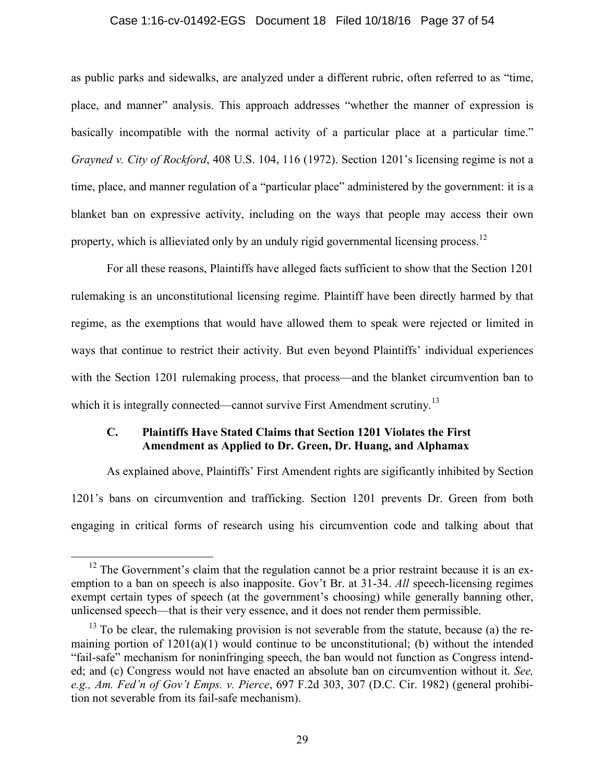#### Case 1:16-cv-01492-EGS Document 18 Filed 10/18/16 Page 37 of 54

as public parks and sidewalks, are analyzed under a different rubric, often referred to as "time, place, and manner" analysis. This approach addresses "whether the manner of expression is basically incompatible with the normal activity of a particular place at a particular time." *Grayned v. City of Rockford*, 408 U.S. 104, 116 (1972). Section 1201's licensing regime is not a time, place, and manner regulation of a "particular place" administered by the government: it is a blanket ban on expressive activity, including on the ways that people may access their own property, which is allieviated only by an unduly rigid governmental licensing process.<sup>12</sup>

For all these reasons, Plaintiffs have alleged facts sufficient to show that the Section 1201 rulemaking is an unconstitutional licensing regime. Plaintiff have been directly harmed by that regime, as the exemptions that would have allowed them to speak were rejected or limited in ways that continue to restrict their activity. But even beyond Plaintiffs' individual experiences with the Section 1201 rulemaking process, that process—and the blanket circumvention ban to which it is integrally connected—cannot survive First Amendment scrutiny.<sup>13</sup>

## **C. Plaintiffs Have Stated Claims that Section 1201 Violates the First Amendment as Applied to Dr. Green, Dr. Huang, and Alphamax**

As explained above, Plaintiffs' First Amendent rights are sigificantly inhibited by Section 1201's bans on circumvention and trafficking. Section 1201 prevents Dr. Green from both engaging in critical forms of research using his circumvention code and talking about that

 $12$  The Government's claim that the regulation cannot be a prior restraint because it is an exemption to a ban on speech is also inapposite. Gov't Br. at 31-34. *All* speech-licensing regimes exempt certain types of speech (at the government's choosing) while generally banning other, unlicensed speech—that is their very essence, and it does not render them permissible.

 $13$  To be clear, the rulemaking provision is not severable from the statute, because (a) the remaining portion of  $1201(a)(1)$  would continue to be unconstitutional; (b) without the intended "fail-safe" mechanism for noninfringing speech, the ban would not function as Congress intended; and (c) Congress would not have enacted an absolute ban on circumvention without it. *See, e.g., Am. Fed'n of Gov't Emps. v. Pierce*, 697 F.2d 303, 307 (D.C. Cir. 1982) (general prohibition not severable from its fail-safe mechanism).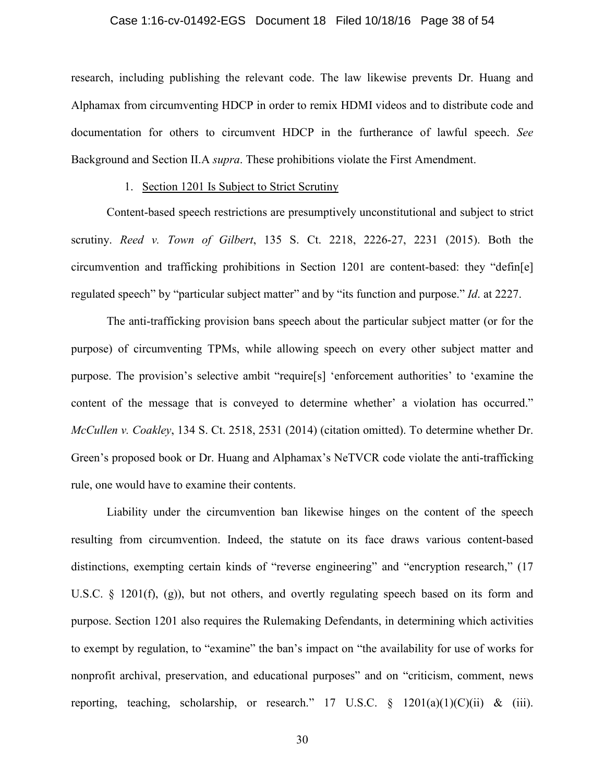#### Case 1:16-cv-01492-EGS Document 18 Filed 10/18/16 Page 38 of 54

research, including publishing the relevant code. The law likewise prevents Dr. Huang and Alphamax from circumventing HDCP in order to remix HDMI videos and to distribute code and documentation for others to circumvent HDCP in the furtherance of lawful speech. *See* Background and Section II.A *supra*. These prohibitions violate the First Amendment.

### 1. Section 1201 Is Subject to Strict Scrutiny

Content-based speech restrictions are presumptively unconstitutional and subject to strict scrutiny. *Reed v. Town of Gilbert*, 135 S. Ct. 2218, 2226-27, 2231 (2015). Both the circumvention and trafficking prohibitions in Section 1201 are content-based: they "defin[e] regulated speech" by "particular subject matter" and by "its function and purpose." *Id*. at 2227.

The anti-trafficking provision bans speech about the particular subject matter (or for the purpose) of circumventing TPMs, while allowing speech on every other subject matter and purpose. The provision's selective ambit "require[s] 'enforcement authorities' to 'examine the content of the message that is conveyed to determine whether' a violation has occurred." *McCullen v. Coakley*, 134 S. Ct. 2518, 2531 (2014) (citation omitted). To determine whether Dr. Green's proposed book or Dr. Huang and Alphamax's NeTVCR code violate the anti-trafficking rule, one would have to examine their contents.

Liability under the circumvention ban likewise hinges on the content of the speech resulting from circumvention. Indeed, the statute on its face draws various content-based distinctions, exempting certain kinds of "reverse engineering" and "encryption research," (17) U.S.C. § 1201(f), (g)), but not others, and overtly regulating speech based on its form and purpose. Section 1201 also requires the Rulemaking Defendants, in determining which activities to exempt by regulation, to "examine" the ban's impact on "the availability for use of works for nonprofit archival, preservation, and educational purposes" and on "criticism, comment, news reporting, teaching, scholarship, or research." 17 U.S.C.  $\S$  1201(a)(1)(C)(ii) & (iii).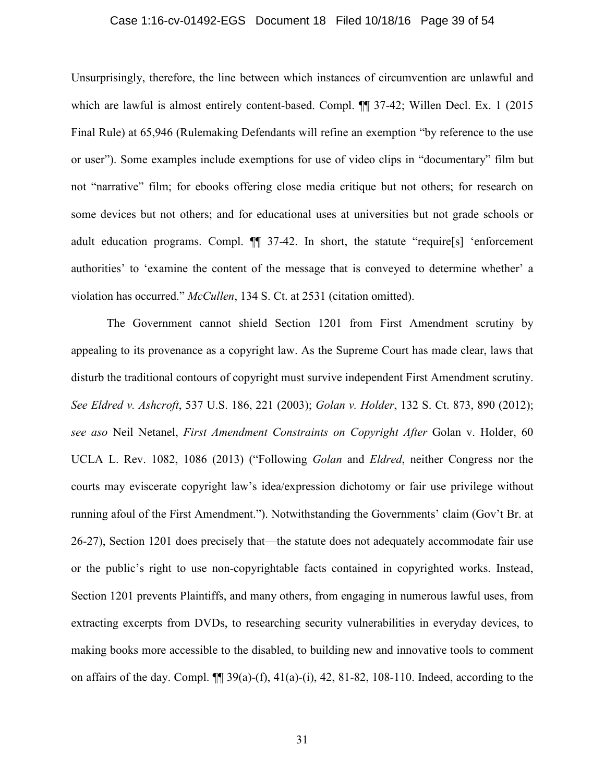#### Case 1:16-cv-01492-EGS Document 18 Filed 10/18/16 Page 39 of 54

Unsurprisingly, therefore, the line between which instances of circumvention are unlawful and which are lawful is almost entirely content-based. Compl.  $\P$  37-42; Willen Decl. Ex. 1 (2015) Final Rule) at 65,946 (Rulemaking Defendants will refine an exemption "by reference to the use or user"). Some examples include exemptions for use of video clips in "documentary" film but not "narrative" film; for ebooks offering close media critique but not others; for research on some devices but not others; and for educational uses at universities but not grade schools or adult education programs. Compl. ¶¶ 37-42. In short, the statute "require[s] 'enforcement authorities' to 'examine the content of the message that is conveyed to determine whether' a violation has occurred." *McCullen*, 134 S. Ct. at 2531 (citation omitted).

The Government cannot shield Section 1201 from First Amendment scrutiny by appealing to its provenance as a copyright law. As the Supreme Court has made clear, laws that disturb the traditional contours of copyright must survive independent First Amendment scrutiny. *See Eldred v. Ashcroft*, 537 U.S. 186, 221 (2003); *Golan v. Holder*, 132 S. Ct. 873, 890 (2012); *see aso* Neil Netanel, *First Amendment Constraints on Copyright After* Golan v. Holder, 60 UCLA L. Rev. 1082, 1086 (2013) ("Following *Golan* and *Eldred*, neither Congress nor the courts may eviscerate copyright law's idea/expression dichotomy or fair use privilege without running afoul of the First Amendment."). Notwithstanding the Governments' claim (Gov't Br. at 26-27), Section 1201 does precisely that—the statute does not adequately accommodate fair use or the public's right to use non-copyrightable facts contained in copyrighted works. Instead, Section 1201 prevents Plaintiffs, and many others, from engaging in numerous lawful uses, from extracting excerpts from DVDs, to researching security vulnerabilities in everyday devices, to making books more accessible to the disabled, to building new and innovative tools to comment on affairs of the day. Compl.  $\P\P$  39(a)-(f), 41(a)-(i), 42, 81-82, 108-110. Indeed, according to the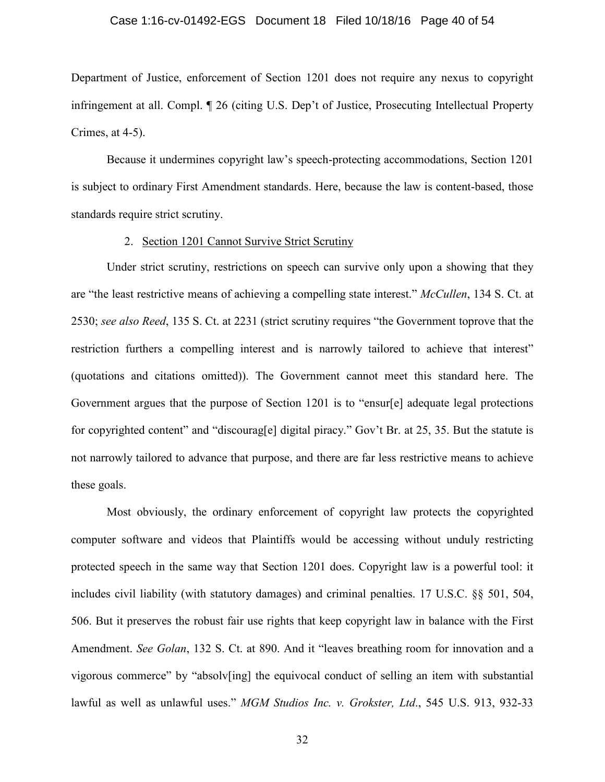#### Case 1:16-cv-01492-EGS Document 18 Filed 10/18/16 Page 40 of 54

Department of Justice, enforcement of Section 1201 does not require any nexus to copyright infringement at all. Compl. ¶ 26 (citing U.S. Dep't of Justice, Prosecuting Intellectual Property Crimes, at 4-5).

Because it undermines copyright law's speech-protecting accommodations, Section 1201 is subject to ordinary First Amendment standards. Here, because the law is content-based, those standards require strict scrutiny.

### 2. Section 1201 Cannot Survive Strict Scrutiny

Under strict scrutiny, restrictions on speech can survive only upon a showing that they are "the least restrictive means of achieving a compelling state interest." *McCullen*, 134 S. Ct. at 2530; *see also Reed*, 135 S. Ct. at 2231 (strict scrutiny requires "the Government toprove that the restriction furthers a compelling interest and is narrowly tailored to achieve that interest" (quotations and citations omitted)). The Government cannot meet this standard here. The Government argues that the purpose of Section 1201 is to "ensur[e] adequate legal protections for copyrighted content" and "discourag[e] digital piracy." Gov't Br. at 25, 35. But the statute is not narrowly tailored to advance that purpose, and there are far less restrictive means to achieve these goals.

Most obviously, the ordinary enforcement of copyright law protects the copyrighted computer software and videos that Plaintiffs would be accessing without unduly restricting protected speech in the same way that Section 1201 does. Copyright law is a powerful tool: it includes civil liability (with statutory damages) and criminal penalties. 17 U.S.C. §§ 501, 504, 506. But it preserves the robust fair use rights that keep copyright law in balance with the First Amendment. *See Golan*, 132 S. Ct. at 890. And it "leaves breathing room for innovation and a vigorous commerce" by "absolv[ing] the equivocal conduct of selling an item with substantial lawful as well as unlawful uses." *MGM Studios Inc. v. Grokster, Ltd*., 545 U.S. 913, 932-33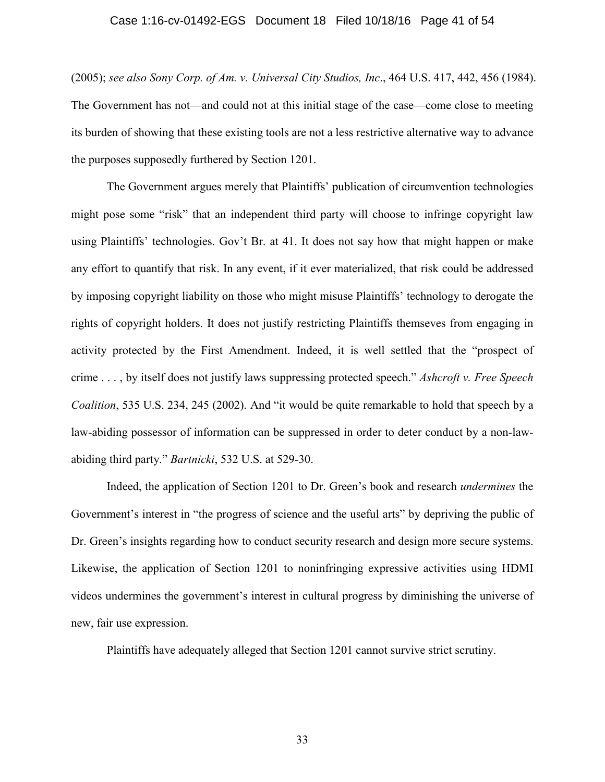#### Case 1:16-cv-01492-EGS Document 18 Filed 10/18/16 Page 41 of 54

(2005); *see also Sony Corp. of Am. v. Universal City Studios, Inc*., 464 U.S. 417, 442, 456 (1984). The Government has not—and could not at this initial stage of the case—come close to meeting its burden of showing that these existing tools are not a less restrictive alternative way to advance the purposes supposedly furthered by Section 1201.

The Government argues merely that Plaintiffs' publication of circumvention technologies might pose some "risk" that an independent third party will choose to infringe copyright law using Plaintiffs' technologies. Gov't Br. at 41. It does not say how that might happen or make any effort to quantify that risk. In any event, if it ever materialized, that risk could be addressed by imposing copyright liability on those who might misuse Plaintiffs' technology to derogate the rights of copyright holders. It does not justify restricting Plaintiffs themseves from engaging in activity protected by the First Amendment. Indeed, it is well settled that the "prospect of crime . . . , by itself does not justify laws suppressing protected speech." *Ashcroft v. Free Speech Coalition*, 535 U.S. 234, 245 (2002). And "it would be quite remarkable to hold that speech by a law-abiding possessor of information can be suppressed in order to deter conduct by a non-lawabiding third party." *Bartnicki*, 532 U.S. at 529-30.

Indeed, the application of Section 1201 to Dr. Green's book and research *undermines* the Government's interest in "the progress of science and the useful arts" by depriving the public of Dr. Green's insights regarding how to conduct security research and design more secure systems. Likewise, the application of Section 1201 to noninfringing expressive activities using HDMI videos undermines the government's interest in cultural progress by diminishing the universe of new, fair use expression.

Plaintiffs have adequately alleged that Section 1201 cannot survive strict scrutiny.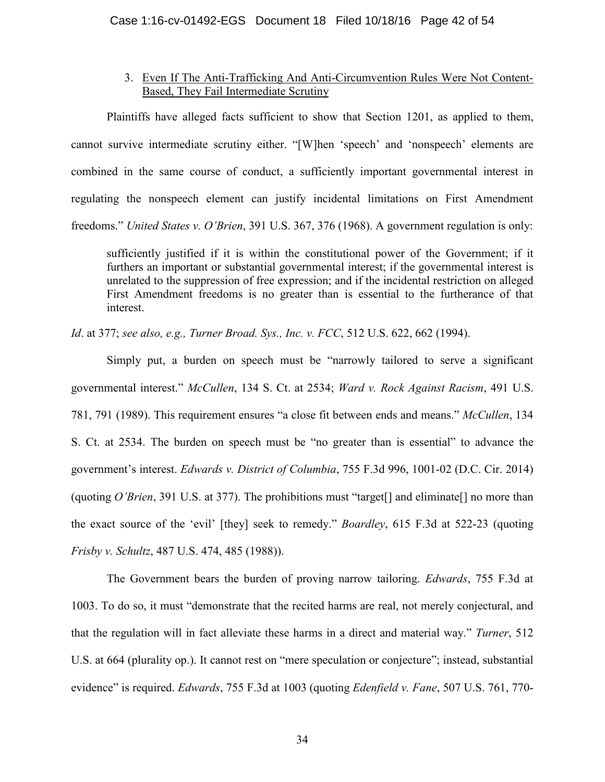## 3. Even If The Anti-Trafficking And Anti-Circumvention Rules Were Not Content-Based, They Fail Intermediate Scrutiny

Plaintiffs have alleged facts sufficient to show that Section 1201, as applied to them, cannot survive intermediate scrutiny either. "[W]hen 'speech' and 'nonspeech' elements are combined in the same course of conduct, a sufficiently important governmental interest in regulating the nonspeech element can justify incidental limitations on First Amendment freedoms." *United States v. O'Brien*, 391 U.S. 367, 376 (1968). A government regulation is only:

sufficiently justified if it is within the constitutional power of the Government; if it furthers an important or substantial governmental interest; if the governmental interest is unrelated to the suppression of free expression; and if the incidental restriction on alleged First Amendment freedoms is no greater than is essential to the furtherance of that interest.

*Id*. at 377; *see also, e.g., Turner Broad. Sys., Inc. v. FCC*, 512 U.S. 622, 662 (1994).

Simply put, a burden on speech must be "narrowly tailored to serve a significant governmental interest." *McCullen*, 134 S. Ct. at 2534; *Ward v. Rock Against Racism*, 491 U.S. 781, 791 (1989). This requirement ensures "a close fit between ends and means." *McCullen*, 134 S. Ct. at 2534. The burden on speech must be "no greater than is essential" to advance the government's interest. *Edwards v. District of Columbia*, 755 F.3d 996, 1001-02 (D.C. Cir. 2014) (quoting *O'Brien*, 391 U.S. at 377). The prohibitions must "target[] and eliminate[] no more than the exact source of the 'evil' [they] seek to remedy." *Boardley*, 615 F.3d at 522-23 (quoting *Frisby v. Schultz*, 487 U.S. 474, 485 (1988)).

The Government bears the burden of proving narrow tailoring. *Edwards*, 755 F.3d at 1003. To do so, it must "demonstrate that the recited harms are real, not merely conjectural, and that the regulation will in fact alleviate these harms in a direct and material way." *Turner*, 512 U.S. at 664 (plurality op.). It cannot rest on "mere speculation or conjecture"; instead, substantial evidence" is required. *Edwards*, 755 F.3d at 1003 (quoting *Edenfield v. Fane*, 507 U.S. 761, 770-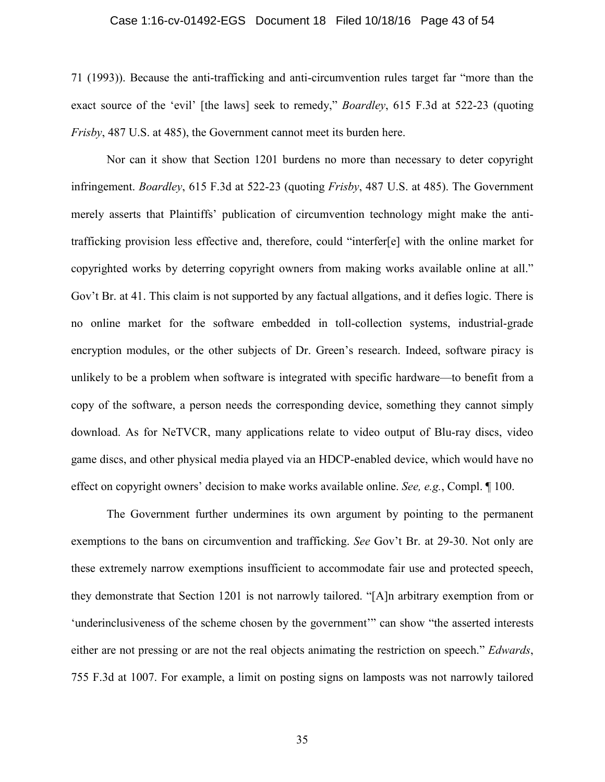#### Case 1:16-cv-01492-EGS Document 18 Filed 10/18/16 Page 43 of 54

71 (1993)). Because the anti-trafficking and anti-circumvention rules target far "more than the exact source of the 'evil' [the laws] seek to remedy," *Boardley*, 615 F.3d at 522-23 (quoting *Frisby*, 487 U.S. at 485), the Government cannot meet its burden here.

Nor can it show that Section 1201 burdens no more than necessary to deter copyright infringement. *Boardley*, 615 F.3d at 522-23 (quoting *Frisby*, 487 U.S. at 485). The Government merely asserts that Plaintiffs' publication of circumvention technology might make the antitrafficking provision less effective and, therefore, could "interfer[e] with the online market for copyrighted works by deterring copyright owners from making works available online at all." Gov't Br. at 41. This claim is not supported by any factual allgations, and it defies logic. There is no online market for the software embedded in toll-collection systems, industrial-grade encryption modules, or the other subjects of Dr. Green's research. Indeed, software piracy is unlikely to be a problem when software is integrated with specific hardware—to benefit from a copy of the software, a person needs the corresponding device, something they cannot simply download. As for NeTVCR, many applications relate to video output of Blu-ray discs, video game discs, and other physical media played via an HDCP-enabled device, which would have no effect on copyright owners' decision to make works available online. *See, e.g.*, Compl. ¶ 100.

The Government further undermines its own argument by pointing to the permanent exemptions to the bans on circumvention and trafficking. *See* Gov't Br. at 29-30. Not only are these extremely narrow exemptions insufficient to accommodate fair use and protected speech, they demonstrate that Section 1201 is not narrowly tailored. "[A]n arbitrary exemption from or 'underinclusiveness of the scheme chosen by the government'" can show "the asserted interests either are not pressing or are not the real objects animating the restriction on speech." *Edwards*, 755 F.3d at 1007. For example, a limit on posting signs on lamposts was not narrowly tailored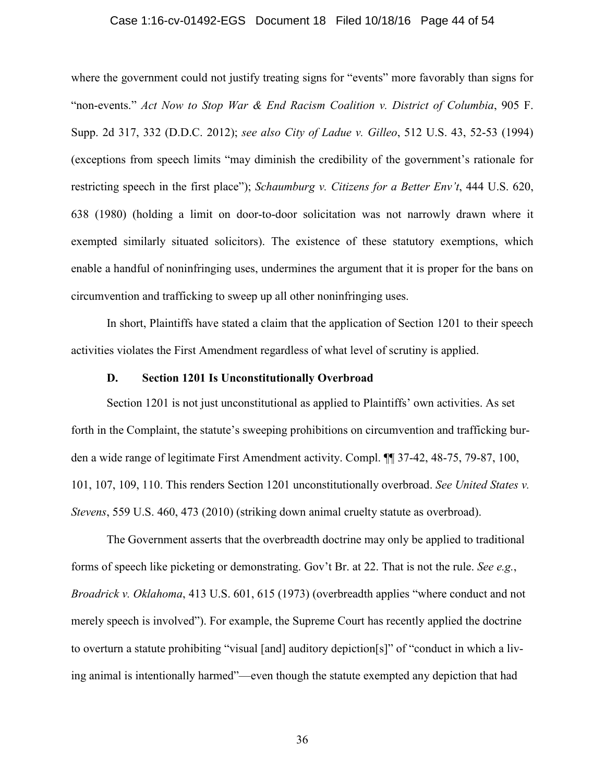#### Case 1:16-cv-01492-EGS Document 18 Filed 10/18/16 Page 44 of 54

where the government could not justify treating signs for "events" more favorably than signs for "non-events." *Act Now to Stop War & End Racism Coalition v. District of Columbia*, 905 F. Supp. 2d 317, 332 (D.D.C. 2012); *see also City of Ladue v. Gilleo*, 512 U.S. 43, 52-53 (1994) (exceptions from speech limits "may diminish the credibility of the government's rationale for restricting speech in the first place"); *Schaumburg v. Citizens for a Better Env't*, 444 U.S. 620, 638 (1980) (holding a limit on door-to-door solicitation was not narrowly drawn where it exempted similarly situated solicitors). The existence of these statutory exemptions, which enable a handful of noninfringing uses, undermines the argument that it is proper for the bans on circumvention and trafficking to sweep up all other noninfringing uses.

In short, Plaintiffs have stated a claim that the application of Section 1201 to their speech activities violates the First Amendment regardless of what level of scrutiny is applied.

#### **D. Section 1201 Is Unconstitutionally Overbroad**

Section 1201 is not just unconstitutional as applied to Plaintiffs' own activities. As set forth in the Complaint, the statute's sweeping prohibitions on circumvention and trafficking burden a wide range of legitimate First Amendment activity. Compl. ¶¶ 37-42, 48-75, 79-87, 100, 101, 107, 109, 110. This renders Section 1201 unconstitutionally overbroad. *See United States v. Stevens*, 559 U.S. 460, 473 (2010) (striking down animal cruelty statute as overbroad).

The Government asserts that the overbreadth doctrine may only be applied to traditional forms of speech like picketing or demonstrating. Gov't Br. at 22. That is not the rule. *See e.g.*, *Broadrick v. Oklahoma*, 413 U.S. 601, 615 (1973) (overbreadth applies "where conduct and not merely speech is involved"). For example, the Supreme Court has recently applied the doctrine to overturn a statute prohibiting "visual [and] auditory depiction[s]" of "conduct in which a living animal is intentionally harmed"—even though the statute exempted any depiction that had

36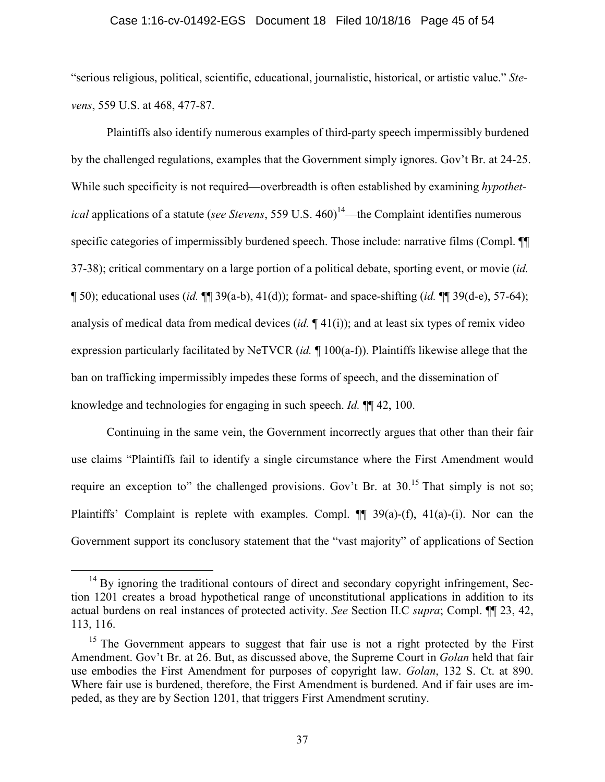#### Case 1:16-cv-01492-EGS Document 18 Filed 10/18/16 Page 45 of 54

"serious religious, political, scientific, educational, journalistic, historical, or artistic value." *Stevens*, 559 U.S. at 468, 477-87.

Plaintiffs also identify numerous examples of third-party speech impermissibly burdened by the challenged regulations, examples that the Government simply ignores. Gov't Br. at 24-25. While such specificity is not required—overbreadth is often established by examining *hypothetical* applications of a statute (*see Stevens*, 559 U.S. 460)<sup>14</sup>—the Complaint identifies numerous specific categories of impermissibly burdened speech. Those include: narrative films (Compl.  $\P$ 37-38); critical commentary on a large portion of a political debate, sporting event, or movie (*id.* ¶ 50); educational uses (*id.* ¶¶ 39(a-b), 41(d)); format- and space-shifting (*id.* ¶¶ 39(d-e), 57-64); analysis of medical data from medical devices (*id.* ¶ 41(i)); and at least six types of remix video expression particularly facilitated by NeTVCR (*id.* ¶ 100(a-f)). Plaintiffs likewise allege that the ban on trafficking impermissibly impedes these forms of speech, and the dissemination of knowledge and technologies for engaging in such speech. *Id.* ¶¶ 42, 100.

Continuing in the same vein, the Government incorrectly argues that other than their fair use claims "Plaintiffs fail to identify a single circumstance where the First Amendment would require an exception to" the challenged provisions. Gov't Br. at  $30^{15}$  That simply is not so; Plaintiffs' Complaint is replete with examples. Compl. ¶¶ 39(a)-(f), 41(a)-(i). Nor can the Government support its conclusory statement that the "vast majority" of applications of Section

 $14$  By ignoring the traditional contours of direct and secondary copyright infringement, Section 1201 creates a broad hypothetical range of unconstitutional applications in addition to its actual burdens on real instances of protected activity. *See* Section II.C *supra*; Compl. ¶¶ 23, 42, 113, 116.

<sup>&</sup>lt;sup>15</sup> The Government appears to suggest that fair use is not a right protected by the First Amendment. Gov't Br. at 26. But, as discussed above, the Supreme Court in *Golan* held that fair use embodies the First Amendment for purposes of copyright law. *Golan*, 132 S. Ct. at 890. Where fair use is burdened, therefore, the First Amendment is burdened. And if fair uses are impeded, as they are by Section 1201, that triggers First Amendment scrutiny.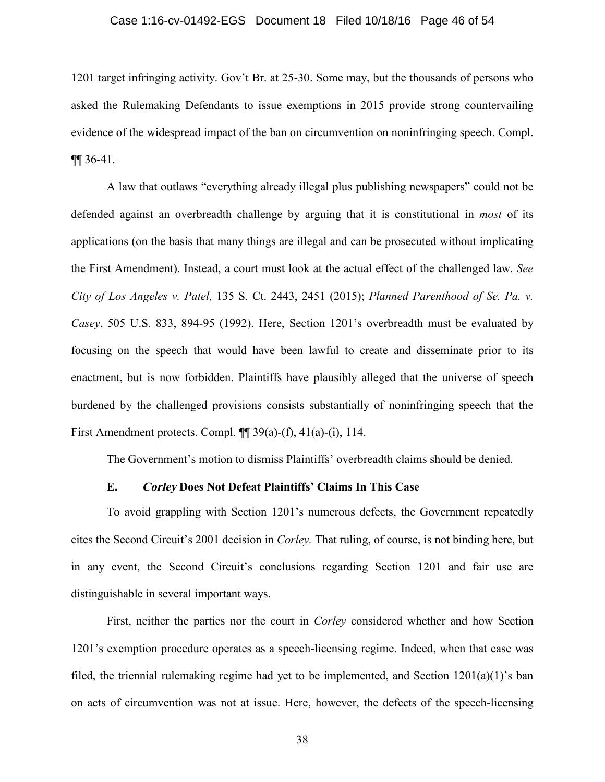#### Case 1:16-cv-01492-EGS Document 18 Filed 10/18/16 Page 46 of 54

1201 target infringing activity. Gov't Br. at 25-30. Some may, but the thousands of persons who asked the Rulemaking Defendants to issue exemptions in 2015 provide strong countervailing evidence of the widespread impact of the ban on circumvention on noninfringing speech. Compl. ¶¶ 36-41.

A law that outlaws "everything already illegal plus publishing newspapers" could not be defended against an overbreadth challenge by arguing that it is constitutional in *most* of its applications (on the basis that many things are illegal and can be prosecuted without implicating the First Amendment). Instead, a court must look at the actual effect of the challenged law. *See City of Los Angeles v. Patel,* 135 S. Ct. 2443, 2451 (2015); *Planned Parenthood of Se. Pa. v. Casey*, 505 U.S. 833, 894-95 (1992). Here, Section 1201's overbreadth must be evaluated by focusing on the speech that would have been lawful to create and disseminate prior to its enactment, but is now forbidden. Plaintiffs have plausibly alleged that the universe of speech burdened by the challenged provisions consists substantially of noninfringing speech that the First Amendment protects. Compl.  $\P$  39(a)-(f), 41(a)-(i), 114.

The Government's motion to dismiss Plaintiffs' overbreadth claims should be denied.

#### **E. Corley Does Not Defeat Plaintiffs' Claims In This Case**

To avoid grappling with Section 1201's numerous defects, the Government repeatedly cites the Second Circuit's 2001 decision in *Corley.* That ruling, of course, is not binding here, but in any event, the Second Circuit's conclusions regarding Section 1201 and fair use are distinguishable in several important ways.

First, neither the parties nor the court in *Corley* considered whether and how Section 1201's exemption procedure operates as a speech-licensing regime. Indeed, when that case was filed, the triennial rulemaking regime had yet to be implemented, and Section  $1201(a)(1)$ 's ban on acts of circumvention was not at issue. Here, however, the defects of the speech-licensing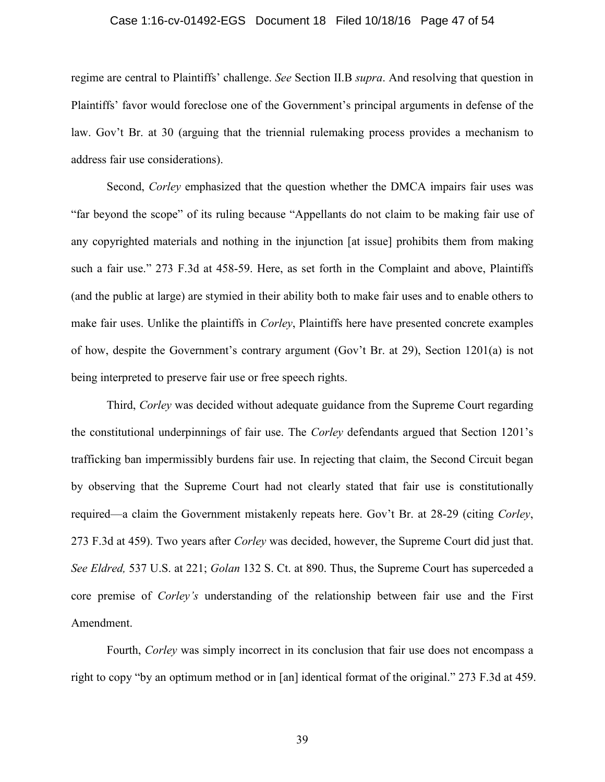#### Case 1:16-cv-01492-EGS Document 18 Filed 10/18/16 Page 47 of 54

regime are central to Plaintiffs' challenge. *See* Section II.B *supra*. And resolving that question in Plaintiffs' favor would foreclose one of the Government's principal arguments in defense of the law. Gov't Br. at 30 (arguing that the triennial rulemaking process provides a mechanism to address fair use considerations).

Second, *Corley* emphasized that the question whether the DMCA impairs fair uses was "far beyond the scope" of its ruling because "Appellants do not claim to be making fair use of any copyrighted materials and nothing in the injunction [at issue] prohibits them from making such a fair use." 273 F.3d at 458-59. Here, as set forth in the Complaint and above, Plaintiffs (and the public at large) are stymied in their ability both to make fair uses and to enable others to make fair uses. Unlike the plaintiffs in *Corley*, Plaintiffs here have presented concrete examples of how, despite the Government's contrary argument (Gov't Br. at 29), Section 1201(a) is not being interpreted to preserve fair use or free speech rights.

Third, *Corley* was decided without adequate guidance from the Supreme Court regarding the constitutional underpinnings of fair use. The *Corley* defendants argued that Section 1201's trafficking ban impermissibly burdens fair use. In rejecting that claim, the Second Circuit began by observing that the Supreme Court had not clearly stated that fair use is constitutionally required—a claim the Government mistakenly repeats here. Gov't Br. at 28-29 (citing *Corley*, 273 F.3d at 459). Two years after *Corley* was decided, however, the Supreme Court did just that. *See Eldred,* 537 U.S. at 221; *Golan* 132 S. Ct. at 890. Thus, the Supreme Court has superceded a core premise of *Corley's* understanding of the relationship between fair use and the First Amendment.

Fourth, *Corley* was simply incorrect in its conclusion that fair use does not encompass a right to copy "by an optimum method or in [an] identical format of the original." 273 F.3d at 459.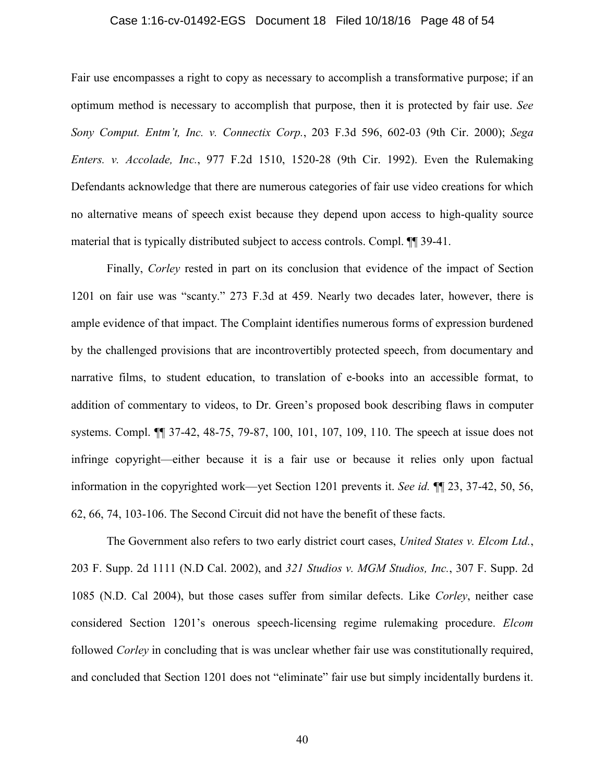#### Case 1:16-cv-01492-EGS Document 18 Filed 10/18/16 Page 48 of 54

Fair use encompasses a right to copy as necessary to accomplish a transformative purpose; if an optimum method is necessary to accomplish that purpose, then it is protected by fair use. *See Sony Comput. Entm't, Inc. v. Connectix Corp.*, 203 F.3d 596, 602-03 (9th Cir. 2000); *Sega Enters. v. Accolade, Inc.*, 977 F.2d 1510, 1520-28 (9th Cir. 1992). Even the Rulemaking Defendants acknowledge that there are numerous categories of fair use video creations for which no alternative means of speech exist because they depend upon access to high-quality source material that is typically distributed subject to access controls. Compl. ¶¶ 39-41.

Finally, *Corley* rested in part on its conclusion that evidence of the impact of Section 1201 on fair use was "scanty." 273 F.3d at 459. Nearly two decades later, however, there is ample evidence of that impact. The Complaint identifies numerous forms of expression burdened by the challenged provisions that are incontrovertibly protected speech, from documentary and narrative films, to student education, to translation of e-books into an accessible format, to addition of commentary to videos, to Dr. Green's proposed book describing flaws in computer systems. Compl. ¶¶ 37-42, 48-75, 79-87, 100, 101, 107, 109, 110. The speech at issue does not infringe copyright—either because it is a fair use or because it relies only upon factual information in the copyrighted work—yet Section 1201 prevents it. *See id.* ¶¶ 23, 37-42, 50, 56, 62, 66, 74, 103-106. The Second Circuit did not have the benefit of these facts.

The Government also refers to two early district court cases, *United States v. Elcom Ltd.*, 203 F. Supp. 2d 1111 (N.D Cal. 2002), and *321 Studios v. MGM Studios, Inc.*, 307 F. Supp. 2d 1085 (N.D. Cal 2004), but those cases suffer from similar defects. Like *Corley*, neither case considered Section 1201's onerous speech-licensing regime rulemaking procedure. *Elcom* followed *Corley* in concluding that is was unclear whether fair use was constitutionally required, and concluded that Section 1201 does not "eliminate" fair use but simply incidentally burdens it.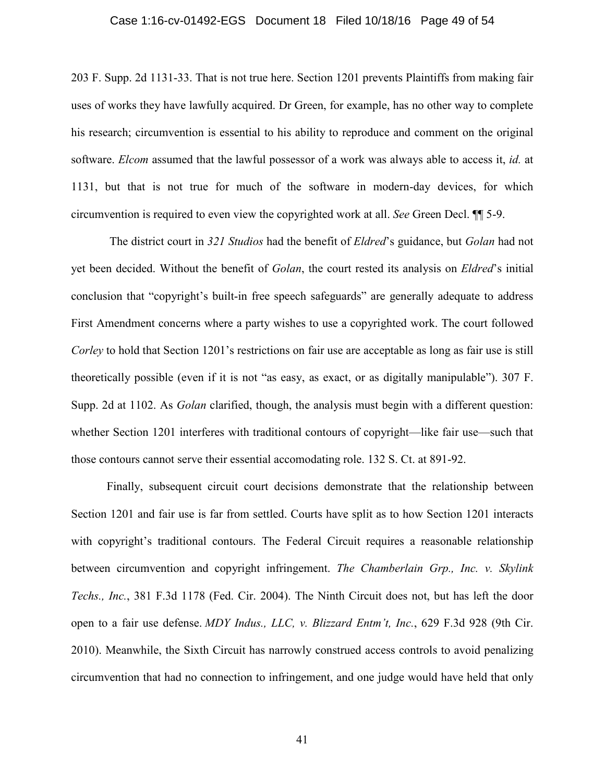#### Case 1:16-cv-01492-EGS Document 18 Filed 10/18/16 Page 49 of 54

203 F. Supp. 2d 1131-33. That is not true here. Section 1201 prevents Plaintiffs from making fair uses of works they have lawfully acquired. Dr Green, for example, has no other way to complete his research; circumvention is essential to his ability to reproduce and comment on the original software. *Elcom* assumed that the lawful possessor of a work was always able to access it, *id.* at 1131, but that is not true for much of the software in modern-day devices, for which circumvention is required to even view the copyrighted work at all. *See* Green Decl. ¶¶ 5-9.

The district court in *321 Studios* had the benefit of *Eldred*'s guidance, but *Golan* had not yet been decided. Without the benefit of *Golan*, the court rested its analysis on *Eldred*'s initial conclusion that "copyright's built-in free speech safeguards" are generally adequate to address First Amendment concerns where a party wishes to use a copyrighted work. The court followed *Corley* to hold that Section 1201's restrictions on fair use are acceptable as long as fair use is still theoretically possible (even if it is not "as easy, as exact, or as digitally manipulable"). 307 F. Supp. 2d at 1102. As *Golan* clarified, though, the analysis must begin with a different question: whether Section 1201 interferes with traditional contours of copyright—like fair use—such that those contours cannot serve their essential accomodating role. 132 S. Ct. at 891-92.

Finally, subsequent circuit court decisions demonstrate that the relationship between Section 1201 and fair use is far from settled. Courts have split as to how Section 1201 interacts with copyright's traditional contours. The Federal Circuit requires a reasonable relationship between circumvention and copyright infringement. *The Chamberlain Grp., Inc. v. Skylink Techs., Inc.*, 381 F.3d 1178 (Fed. Cir. 2004). The Ninth Circuit does not, but has left the door open to a fair use defense. *MDY Indus., LLC, v. Blizzard Entm't, Inc.*, 629 F.3d 928 (9th Cir. 2010). Meanwhile, the Sixth Circuit has narrowly construed access controls to avoid penalizing circumvention that had no connection to infringement, and one judge would have held that only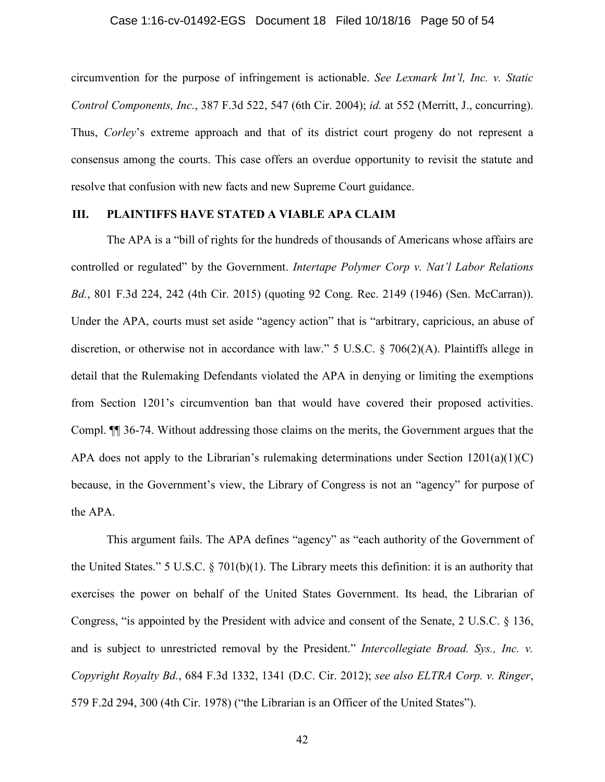#### Case 1:16-cv-01492-EGS Document 18 Filed 10/18/16 Page 50 of 54

circumvention for the purpose of infringement is actionable. *See Lexmark Int'l, Inc. v. Static Control Components, Inc.*, 387 F.3d 522, 547 (6th Cir. 2004); *id.* at 552 (Merritt, J., concurring). Thus, *Corley*'s extreme approach and that of its district court progeny do not represent a consensus among the courts. This case offers an overdue opportunity to revisit the statute and resolve that confusion with new facts and new Supreme Court guidance.

## **III. PLAINTIFFS HAVE STATED A VIABLE APA CLAIM**

The APA is a "bill of rights for the hundreds of thousands of Americans whose affairs are controlled or regulated" by the Government. *Intertape Polymer Corp v. Nat'l Labor Relations Bd.*, 801 F.3d 224, 242 (4th Cir. 2015) (quoting 92 Cong. Rec. 2149 (1946) (Sen. McCarran)). Under the APA, courts must set aside "agency action" that is "arbitrary, capricious, an abuse of discretion, or otherwise not in accordance with law." 5 U.S.C. § 706(2)(A). Plaintiffs allege in detail that the Rulemaking Defendants violated the APA in denying or limiting the exemptions from Section 1201's circumvention ban that would have covered their proposed activities. Compl. ¶¶ 36-74. Without addressing those claims on the merits, the Government argues that the APA does not apply to the Librarian's rulemaking determinations under Section  $1201(a)(1)(C)$ because, in the Government's view, the Library of Congress is not an "agency" for purpose of the APA.

This argument fails. The APA defines "agency" as "each authority of the Government of the United States." 5 U.S.C. § 701(b)(1). The Library meets this definition: it is an authority that exercises the power on behalf of the United States Government. Its head, the Librarian of Congress, "is appointed by the President with advice and consent of the Senate, 2 U.S.C. § 136, and is subject to unrestricted removal by the President." *Intercollegiate Broad. Sys., Inc. v. Copyright Royalty Bd.*, 684 F.3d 1332, 1341 (D.C. Cir. 2012); *see also ELTRA Corp. v. Ringer*, 579 F.2d 294, 300 (4th Cir. 1978) ("the Librarian is an Officer of the United States").

42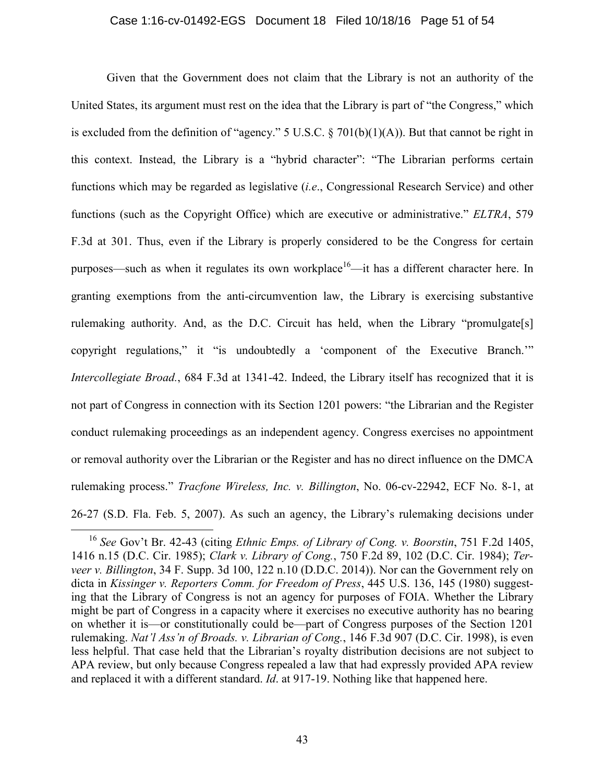#### Case 1:16-cv-01492-EGS Document 18 Filed 10/18/16 Page 51 of 54

Given that the Government does not claim that the Library is not an authority of the United States, its argument must rest on the idea that the Library is part of "the Congress," which is excluded from the definition of "agency." 5 U.S.C.  $\S$  701(b)(1)(A)). But that cannot be right in this context. Instead, the Library is a "hybrid character": "The Librarian performs certain functions which may be regarded as legislative (*i.e*., Congressional Research Service) and other functions (such as the Copyright Office) which are executive or administrative." *ELTRA*, 579 F.3d at 301. Thus, even if the Library is properly considered to be the Congress for certain purposes—such as when it regulates its own workplace<sup>16</sup>—it has a different character here. In granting exemptions from the anti-circumvention law, the Library is exercising substantive rulemaking authority. And, as the D.C. Circuit has held, when the Library "promulgate[s] copyright regulations," it "is undoubtedly a 'component of the Executive Branch.'" *Intercollegiate Broad.*, 684 F.3d at 1341-42. Indeed, the Library itself has recognized that it is not part of Congress in connection with its Section 1201 powers: "the Librarian and the Register conduct rulemaking proceedings as an independent agency. Congress exercises no appointment or removal authority over the Librarian or the Register and has no direct influence on the DMCA rulemaking process." *Tracfone Wireless, Inc. v. Billington*, No. 06-cv-22942, ECF No. 8-1, at 26-27 (S.D. Fla. Feb. 5, 2007). As such an agency, the Library's rulemaking decisions under

<sup>16</sup> *See* Gov't Br. 42-43 (citing *Ethnic Emps. of Library of Cong. v. Boorstin*, 751 F.2d 1405, 1416 n.15 (D.C. Cir. 1985); *Clark v. Library of Cong.*, 750 F.2d 89, 102 (D.C. Cir. 1984); *Terveer v. Billington*, 34 F. Supp. 3d 100, 122 n.10 (D.D.C. 2014)). Nor can the Government rely on dicta in *Kissinger v. Reporters Comm. for Freedom of Press*, 445 U.S. 136, 145 (1980) suggesting that the Library of Congress is not an agency for purposes of FOIA. Whether the Library might be part of Congress in a capacity where it exercises no executive authority has no bearing on whether it is—or constitutionally could be—part of Congress purposes of the Section 1201 rulemaking. *Nat'l Ass'n of Broads. v. Librarian of Cong.*, 146 F.3d 907 (D.C. Cir. 1998), is even less helpful. That case held that the Librarian's royalty distribution decisions are not subject to APA review, but only because Congress repealed a law that had expressly provided APA review and replaced it with a different standard. *Id*. at 917-19. Nothing like that happened here.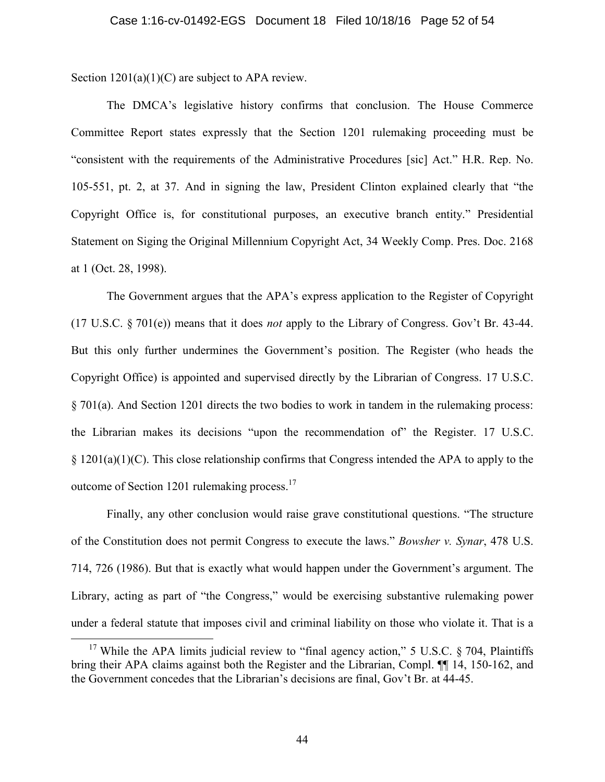Section  $1201(a)(1)(C)$  are subject to APA review.

The DMCA's legislative history confirms that conclusion. The House Commerce Committee Report states expressly that the Section 1201 rulemaking proceeding must be "consistent with the requirements of the Administrative Procedures [sic] Act." H.R. Rep. No. 105-551, pt. 2, at 37. And in signing the law, President Clinton explained clearly that "the Copyright Office is, for constitutional purposes, an executive branch entity." Presidential Statement on Siging the Original Millennium Copyright Act, 34 Weekly Comp. Pres. Doc. 2168 at 1 (Oct. 28, 1998).

The Government argues that the APA's express application to the Register of Copyright (17 U.S.C. § 701(e)) means that it does *not* apply to the Library of Congress. Gov't Br. 43-44. But this only further undermines the Government's position. The Register (who heads the Copyright Office) is appointed and supervised directly by the Librarian of Congress. 17 U.S.C. § 701(a). And Section 1201 directs the two bodies to work in tandem in the rulemaking process: the Librarian makes its decisions "upon the recommendation of" the Register. 17 U.S.C. § 1201(a)(1)(C). This close relationship confirms that Congress intended the APA to apply to the outcome of Section 1201 rulemaking process.<sup>17</sup>

Finally, any other conclusion would raise grave constitutional questions. "The structure of the Constitution does not permit Congress to execute the laws." *Bowsher v. Synar*, 478 U.S. 714, 726 (1986). But that is exactly what would happen under the Government's argument. The Library, acting as part of "the Congress," would be exercising substantive rulemaking power under a federal statute that imposes civil and criminal liability on those who violate it. That is a

<sup>&</sup>lt;sup>17</sup> While the APA limits judicial review to "final agency action," 5 U.S.C. § 704, Plaintiffs bring their APA claims against both the Register and the Librarian, Compl. ¶¶ 14, 150-162, and the Government concedes that the Librarian's decisions are final, Gov't Br. at 44-45.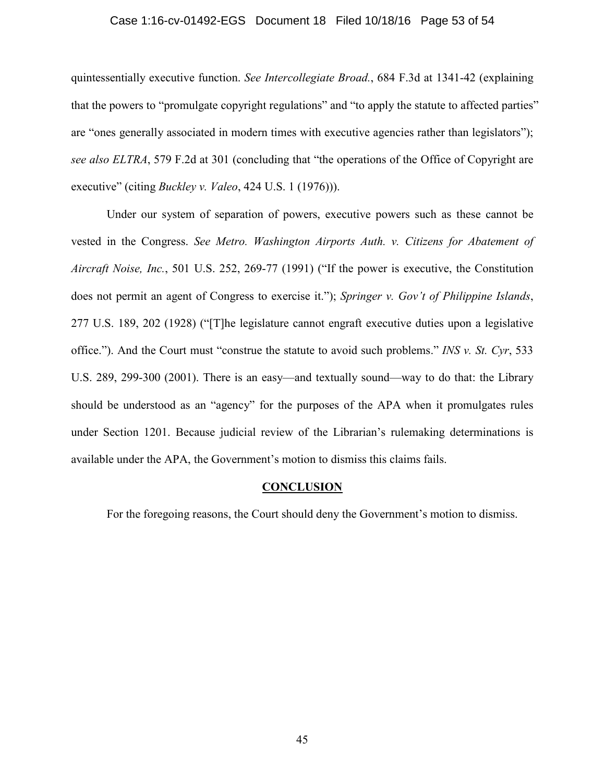#### Case 1:16-cv-01492-EGS Document 18 Filed 10/18/16 Page 53 of 54

quintessentially executive function. *See Intercollegiate Broad.*, 684 F.3d at 1341-42 (explaining that the powers to "promulgate copyright regulations" and "to apply the statute to affected parties" are "ones generally associated in modern times with executive agencies rather than legislators"); *see also ELTRA*, 579 F.2d at 301 (concluding that "the operations of the Office of Copyright are executive" (citing *Buckley v. Valeo*, 424 U.S. 1 (1976))).

Under our system of separation of powers, executive powers such as these cannot be vested in the Congress. *See Metro. Washington Airports Auth. v. Citizens for Abatement of Aircraft Noise, Inc.*, 501 U.S. 252, 269-77 (1991) ("If the power is executive, the Constitution does not permit an agent of Congress to exercise it."); *Springer v. Gov't of Philippine Islands*, 277 U.S. 189, 202 (1928) ("[T]he legislature cannot engraft executive duties upon a legislative office."). And the Court must "construe the statute to avoid such problems." *INS v. St. Cyr*, 533 U.S. 289, 299-300 (2001). There is an easy—and textually sound—way to do that: the Library should be understood as an "agency" for the purposes of the APA when it promulgates rules under Section 1201. Because judicial review of the Librarian's rulemaking determinations is available under the APA, the Government's motion to dismiss this claims fails.

### **CONCLUSION**

For the foregoing reasons, the Court should deny the Government's motion to dismiss.